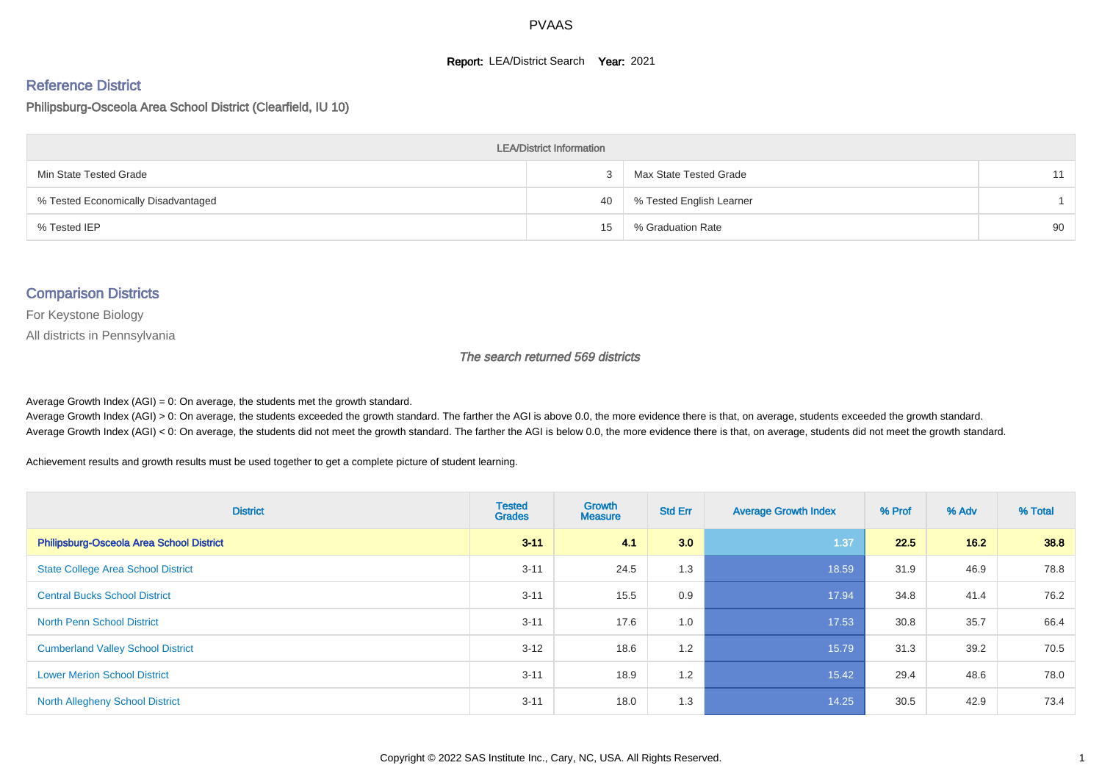#### **Report: LEA/District Search Year: 2021**

# Reference District

#### Philipsburg-Osceola Area School District (Clearfield, IU 10)

| <b>LEA/District Information</b>     |    |                          |    |  |  |  |  |  |  |
|-------------------------------------|----|--------------------------|----|--|--|--|--|--|--|
| Min State Tested Grade              |    | Max State Tested Grade   | 11 |  |  |  |  |  |  |
| % Tested Economically Disadvantaged | 40 | % Tested English Learner |    |  |  |  |  |  |  |
| % Tested IEP                        | 15 | % Graduation Rate        | 90 |  |  |  |  |  |  |

#### Comparison Districts

For Keystone Biology

All districts in Pennsylvania

The search returned 569 districts

Average Growth Index  $(AGI) = 0$ : On average, the students met the growth standard.

Average Growth Index (AGI) > 0: On average, the students exceeded the growth standard. The farther the AGI is above 0.0, the more evidence there is that, on average, students exceeded the growth standard. Average Growth Index (AGI) < 0: On average, the students did not meet the growth standard. The farther the AGI is below 0.0, the more evidence there is that, on average, students did not meet the growth standard.

Achievement results and growth results must be used together to get a complete picture of student learning.

| <b>District</b>                           | <b>Tested</b><br><b>Grades</b> | <b>Growth</b><br><b>Measure</b> | <b>Std Err</b> | <b>Average Growth Index</b> | % Prof | % Adv | % Total |
|-------------------------------------------|--------------------------------|---------------------------------|----------------|-----------------------------|--------|-------|---------|
| Philipsburg-Osceola Area School District  | $3 - 11$                       | 41                              | 3.0            | 1.37                        | 22.5   | 16.2  | 38.8    |
| <b>State College Area School District</b> | $3 - 11$                       | 24.5                            | 1.3            | 18.59                       | 31.9   | 46.9  | 78.8    |
| <b>Central Bucks School District</b>      | $3 - 11$                       | 15.5                            | 0.9            | 17.94                       | 34.8   | 41.4  | 76.2    |
| <b>North Penn School District</b>         | $3 - 11$                       | 17.6                            | 1.0            | 17.53                       | 30.8   | 35.7  | 66.4    |
| <b>Cumberland Valley School District</b>  | $3 - 12$                       | 18.6                            | 1.2            | 15.79                       | 31.3   | 39.2  | 70.5    |
| <b>Lower Merion School District</b>       | $3 - 11$                       | 18.9                            | 1.2            | 15.42                       | 29.4   | 48.6  | 78.0    |
| <b>North Allegheny School District</b>    | $3 - 11$                       | 18.0                            | 1.3            | 14.25                       | 30.5   | 42.9  | 73.4    |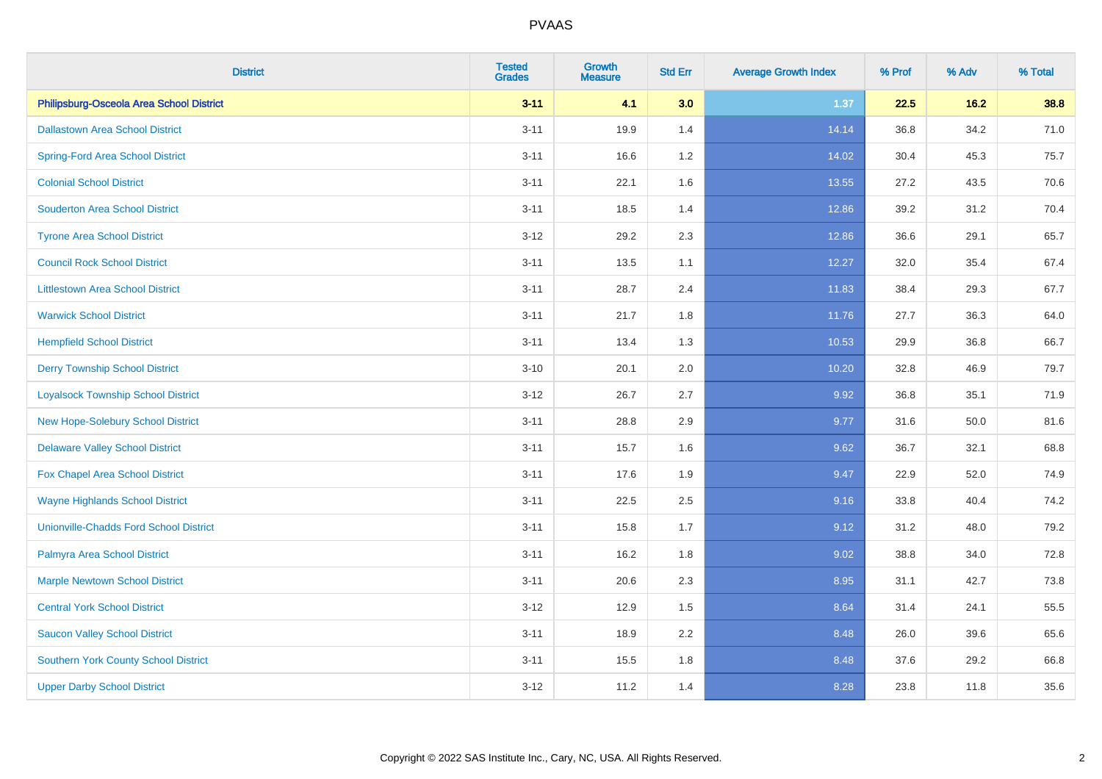| <b>District</b>                               | <b>Tested</b><br><b>Grades</b> | <b>Growth</b><br><b>Measure</b> | <b>Std Err</b> | <b>Average Growth Index</b> | % Prof | % Adv | % Total |
|-----------------------------------------------|--------------------------------|---------------------------------|----------------|-----------------------------|--------|-------|---------|
| Philipsburg-Osceola Area School District      | $3 - 11$                       | 4.1                             | 3.0            | 1.37                        | 22.5   | 16.2  | 38.8    |
| <b>Dallastown Area School District</b>        | $3 - 11$                       | 19.9                            | 1.4            | 14.14                       | 36.8   | 34.2  | 71.0    |
| <b>Spring-Ford Area School District</b>       | $3 - 11$                       | 16.6                            | 1.2            | 14.02                       | 30.4   | 45.3  | 75.7    |
| <b>Colonial School District</b>               | $3 - 11$                       | 22.1                            | 1.6            | 13.55                       | 27.2   | 43.5  | 70.6    |
| <b>Souderton Area School District</b>         | $3 - 11$                       | 18.5                            | 1.4            | 12.86                       | 39.2   | 31.2  | 70.4    |
| <b>Tyrone Area School District</b>            | $3 - 12$                       | 29.2                            | 2.3            | 12.86                       | 36.6   | 29.1  | 65.7    |
| <b>Council Rock School District</b>           | $3 - 11$                       | 13.5                            | 1.1            | 12.27                       | 32.0   | 35.4  | 67.4    |
| <b>Littlestown Area School District</b>       | $3 - 11$                       | 28.7                            | 2.4            | 11.83                       | 38.4   | 29.3  | 67.7    |
| <b>Warwick School District</b>                | $3 - 11$                       | 21.7                            | 1.8            | 11.76                       | 27.7   | 36.3  | 64.0    |
| <b>Hempfield School District</b>              | $3 - 11$                       | 13.4                            | 1.3            | 10.53                       | 29.9   | 36.8  | 66.7    |
| <b>Derry Township School District</b>         | $3 - 10$                       | 20.1                            | 2.0            | 10.20                       | 32.8   | 46.9  | 79.7    |
| <b>Loyalsock Township School District</b>     | $3 - 12$                       | 26.7                            | 2.7            | 9.92                        | 36.8   | 35.1  | 71.9    |
| New Hope-Solebury School District             | $3 - 11$                       | 28.8                            | 2.9            | 9.77                        | 31.6   | 50.0  | 81.6    |
| <b>Delaware Valley School District</b>        | $3 - 11$                       | 15.7                            | 1.6            | 9.62                        | 36.7   | 32.1  | 68.8    |
| Fox Chapel Area School District               | $3 - 11$                       | 17.6                            | 1.9            | 9.47                        | 22.9   | 52.0  | 74.9    |
| <b>Wayne Highlands School District</b>        | $3 - 11$                       | 22.5                            | 2.5            | 9.16                        | 33.8   | 40.4  | 74.2    |
| <b>Unionville-Chadds Ford School District</b> | $3 - 11$                       | 15.8                            | 1.7            | 9.12                        | 31.2   | 48.0  | 79.2    |
| Palmyra Area School District                  | $3 - 11$                       | 16.2                            | 1.8            | 9.02                        | 38.8   | 34.0  | 72.8    |
| <b>Marple Newtown School District</b>         | $3 - 11$                       | 20.6                            | 2.3            | 8.95                        | 31.1   | 42.7  | 73.8    |
| <b>Central York School District</b>           | $3 - 12$                       | 12.9                            | 1.5            | 8.64                        | 31.4   | 24.1  | 55.5    |
| <b>Saucon Valley School District</b>          | $3 - 11$                       | 18.9                            | 2.2            | 8.48                        | 26.0   | 39.6  | 65.6    |
| Southern York County School District          | $3 - 11$                       | 15.5                            | 1.8            | 8.48                        | 37.6   | 29.2  | 66.8    |
| <b>Upper Darby School District</b>            | $3 - 12$                       | 11.2                            | 1.4            | 8.28                        | 23.8   | 11.8  | 35.6    |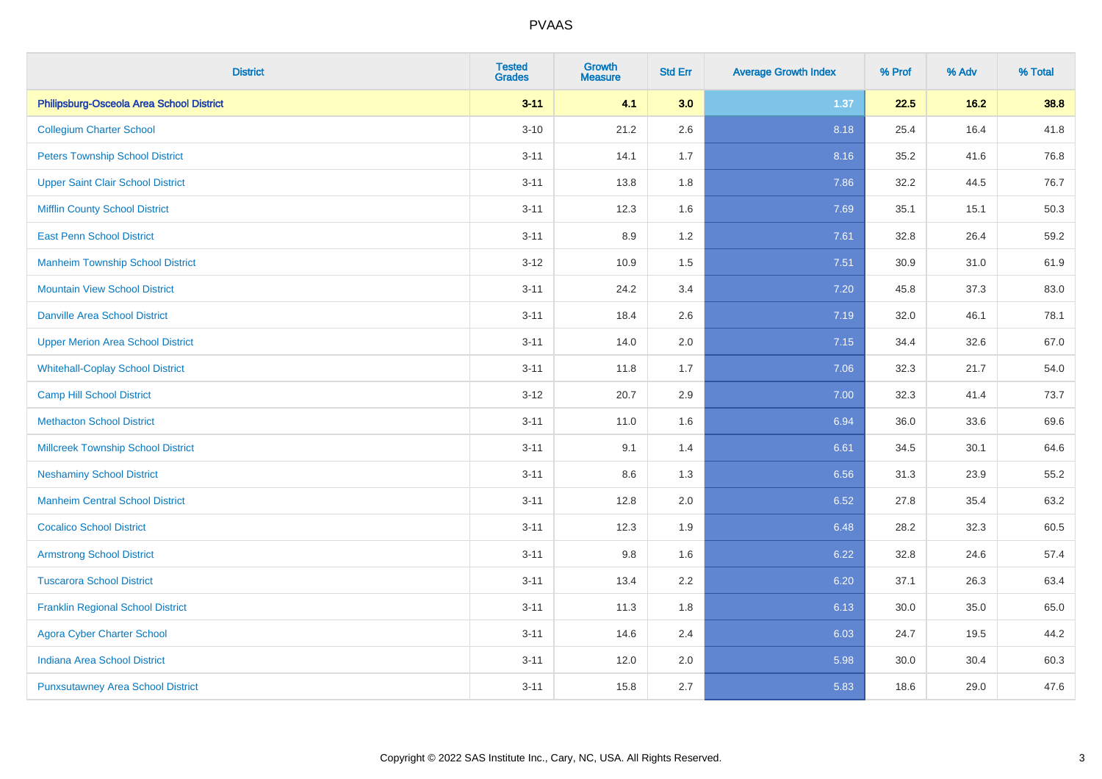| <b>District</b>                           | <b>Tested</b><br><b>Grades</b> | <b>Growth</b><br><b>Measure</b> | <b>Std Err</b> | <b>Average Growth Index</b> | % Prof | % Adv  | % Total |
|-------------------------------------------|--------------------------------|---------------------------------|----------------|-----------------------------|--------|--------|---------|
| Philipsburg-Osceola Area School District  | $3 - 11$                       | 4.1                             | 3.0            | 1.37                        | 22.5   | $16.2$ | 38.8    |
| <b>Collegium Charter School</b>           | $3 - 10$                       | 21.2                            | 2.6            | 8.18                        | 25.4   | 16.4   | 41.8    |
| <b>Peters Township School District</b>    | $3 - 11$                       | 14.1                            | 1.7            | 8.16                        | 35.2   | 41.6   | 76.8    |
| <b>Upper Saint Clair School District</b>  | $3 - 11$                       | 13.8                            | 1.8            | 7.86                        | 32.2   | 44.5   | 76.7    |
| <b>Mifflin County School District</b>     | $3 - 11$                       | 12.3                            | 1.6            | 7.69                        | 35.1   | 15.1   | 50.3    |
| <b>East Penn School District</b>          | $3 - 11$                       | 8.9                             | 1.2            | 7.61                        | 32.8   | 26.4   | 59.2    |
| <b>Manheim Township School District</b>   | $3 - 12$                       | 10.9                            | 1.5            | 7.51                        | 30.9   | 31.0   | 61.9    |
| <b>Mountain View School District</b>      | $3 - 11$                       | 24.2                            | 3.4            | 7.20                        | 45.8   | 37.3   | 83.0    |
| <b>Danville Area School District</b>      | $3 - 11$                       | 18.4                            | 2.6            | 7.19                        | 32.0   | 46.1   | 78.1    |
| <b>Upper Merion Area School District</b>  | $3 - 11$                       | 14.0                            | 2.0            | 7.15                        | 34.4   | 32.6   | 67.0    |
| <b>Whitehall-Coplay School District</b>   | $3 - 11$                       | 11.8                            | 1.7            | 7.06                        | 32.3   | 21.7   | 54.0    |
| <b>Camp Hill School District</b>          | $3 - 12$                       | 20.7                            | 2.9            | 7.00                        | 32.3   | 41.4   | 73.7    |
| <b>Methacton School District</b>          | $3 - 11$                       | 11.0                            | 1.6            | 6.94                        | 36.0   | 33.6   | 69.6    |
| <b>Millcreek Township School District</b> | $3 - 11$                       | 9.1                             | 1.4            | 6.61                        | 34.5   | 30.1   | 64.6    |
| <b>Neshaminy School District</b>          | $3 - 11$                       | 8.6                             | 1.3            | 6.56                        | 31.3   | 23.9   | 55.2    |
| <b>Manheim Central School District</b>    | $3 - 11$                       | 12.8                            | 2.0            | 6.52                        | 27.8   | 35.4   | 63.2    |
| <b>Cocalico School District</b>           | $3 - 11$                       | 12.3                            | 1.9            | 6.48                        | 28.2   | 32.3   | 60.5    |
| <b>Armstrong School District</b>          | $3 - 11$                       | 9.8                             | 1.6            | 6.22                        | 32.8   | 24.6   | 57.4    |
| <b>Tuscarora School District</b>          | $3 - 11$                       | 13.4                            | 2.2            | 6.20                        | 37.1   | 26.3   | 63.4    |
| <b>Franklin Regional School District</b>  | $3 - 11$                       | 11.3                            | 1.8            | 6.13                        | 30.0   | 35.0   | 65.0    |
| <b>Agora Cyber Charter School</b>         | $3 - 11$                       | 14.6                            | 2.4            | 6.03                        | 24.7   | 19.5   | 44.2    |
| <b>Indiana Area School District</b>       | $3 - 11$                       | 12.0                            | 2.0            | 5.98                        | 30.0   | 30.4   | 60.3    |
| <b>Punxsutawney Area School District</b>  | $3 - 11$                       | 15.8                            | 2.7            | 5.83                        | 18.6   | 29.0   | 47.6    |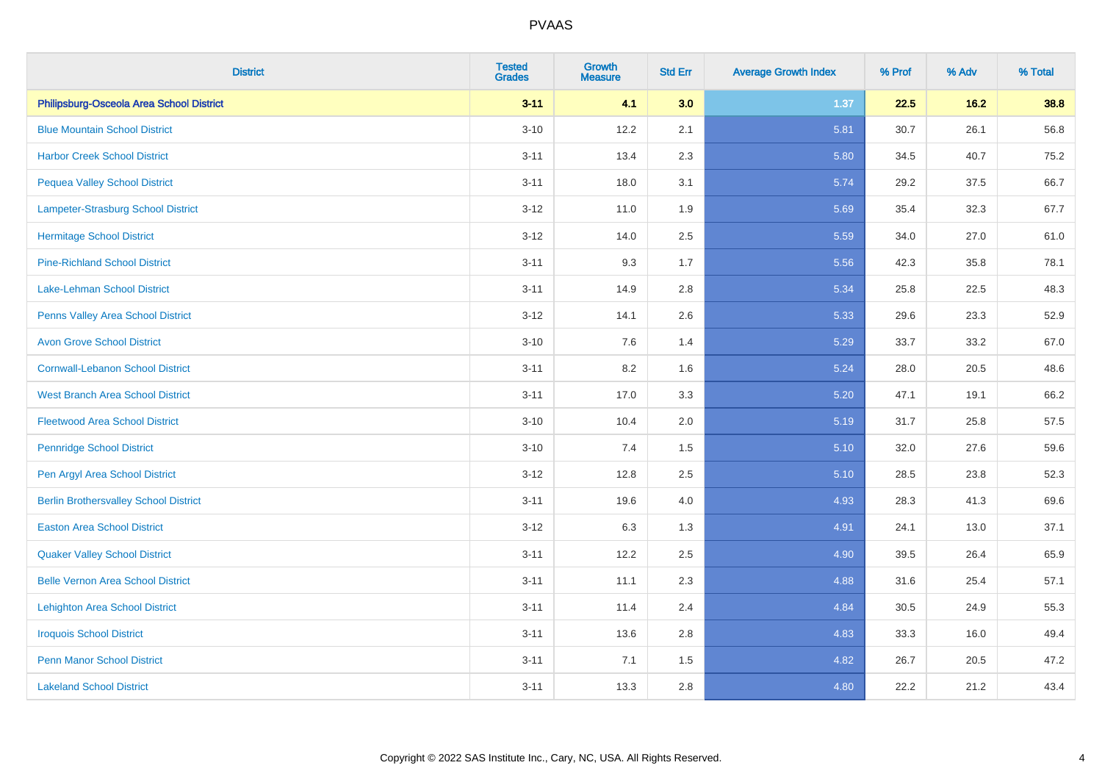| <b>District</b>                              | <b>Tested</b><br><b>Grades</b> | <b>Growth</b><br><b>Measure</b> | <b>Std Err</b> | <b>Average Growth Index</b> | % Prof | % Adv | % Total |
|----------------------------------------------|--------------------------------|---------------------------------|----------------|-----------------------------|--------|-------|---------|
| Philipsburg-Osceola Area School District     | $3 - 11$                       | 4.1                             | 3.0            | 1.37                        | 22.5   | 16.2  | 38.8    |
| <b>Blue Mountain School District</b>         | $3 - 10$                       | 12.2                            | 2.1            | 5.81                        | 30.7   | 26.1  | 56.8    |
| <b>Harbor Creek School District</b>          | $3 - 11$                       | 13.4                            | 2.3            | 5.80                        | 34.5   | 40.7  | 75.2    |
| <b>Pequea Valley School District</b>         | $3 - 11$                       | 18.0                            | 3.1            | 5.74                        | 29.2   | 37.5  | 66.7    |
| Lampeter-Strasburg School District           | $3 - 12$                       | 11.0                            | 1.9            | 5.69                        | 35.4   | 32.3  | 67.7    |
| <b>Hermitage School District</b>             | $3 - 12$                       | 14.0                            | 2.5            | 5.59                        | 34.0   | 27.0  | 61.0    |
| <b>Pine-Richland School District</b>         | $3 - 11$                       | 9.3                             | 1.7            | 5.56                        | 42.3   | 35.8  | 78.1    |
| <b>Lake-Lehman School District</b>           | $3 - 11$                       | 14.9                            | 2.8            | 5.34                        | 25.8   | 22.5  | 48.3    |
| Penns Valley Area School District            | $3 - 12$                       | 14.1                            | 2.6            | 5.33                        | 29.6   | 23.3  | 52.9    |
| <b>Avon Grove School District</b>            | $3 - 10$                       | 7.6                             | 1.4            | 5.29                        | 33.7   | 33.2  | 67.0    |
| <b>Cornwall-Lebanon School District</b>      | $3 - 11$                       | 8.2                             | 1.6            | 5.24                        | 28.0   | 20.5  | 48.6    |
| <b>West Branch Area School District</b>      | $3 - 11$                       | 17.0                            | 3.3            | 5.20                        | 47.1   | 19.1  | 66.2    |
| <b>Fleetwood Area School District</b>        | $3 - 10$                       | 10.4                            | 2.0            | 5.19                        | 31.7   | 25.8  | 57.5    |
| <b>Pennridge School District</b>             | $3 - 10$                       | 7.4                             | 1.5            | 5.10                        | 32.0   | 27.6  | 59.6    |
| Pen Argyl Area School District               | $3 - 12$                       | 12.8                            | 2.5            | 5.10                        | 28.5   | 23.8  | 52.3    |
| <b>Berlin Brothersvalley School District</b> | $3 - 11$                       | 19.6                            | 4.0            | 4.93                        | 28.3   | 41.3  | 69.6    |
| <b>Easton Area School District</b>           | $3 - 12$                       | 6.3                             | 1.3            | 4.91                        | 24.1   | 13.0  | 37.1    |
| <b>Quaker Valley School District</b>         | $3 - 11$                       | 12.2                            | 2.5            | 4.90                        | 39.5   | 26.4  | 65.9    |
| <b>Belle Vernon Area School District</b>     | $3 - 11$                       | 11.1                            | 2.3            | 4.88                        | 31.6   | 25.4  | 57.1    |
| <b>Lehighton Area School District</b>        | $3 - 11$                       | 11.4                            | 2.4            | 4.84                        | 30.5   | 24.9  | 55.3    |
| <b>Iroquois School District</b>              | $3 - 11$                       | 13.6                            | 2.8            | 4.83                        | 33.3   | 16.0  | 49.4    |
| <b>Penn Manor School District</b>            | $3 - 11$                       | 7.1                             | 1.5            | 4.82                        | 26.7   | 20.5  | 47.2    |
| <b>Lakeland School District</b>              | $3 - 11$                       | 13.3                            | 2.8            | 4.80                        | 22.2   | 21.2  | 43.4    |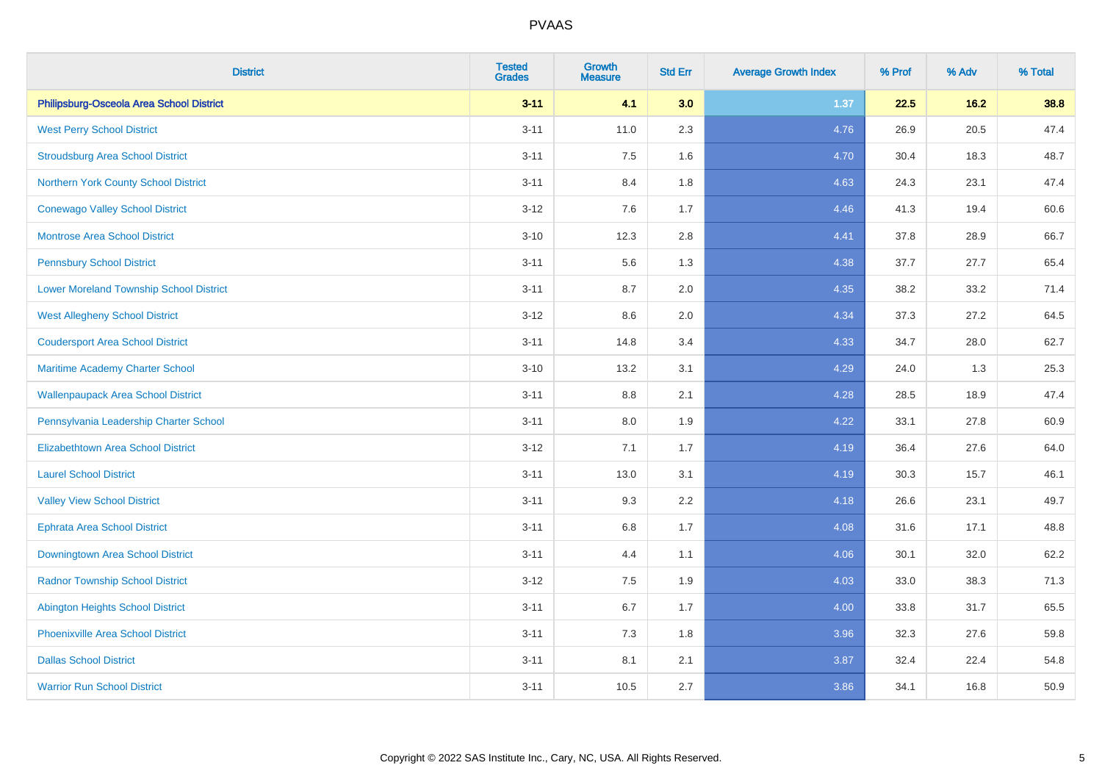| <b>District</b>                                | <b>Tested</b><br><b>Grades</b> | Growth<br><b>Measure</b> | <b>Std Err</b> | <b>Average Growth Index</b> | % Prof | % Adv | % Total |
|------------------------------------------------|--------------------------------|--------------------------|----------------|-----------------------------|--------|-------|---------|
| Philipsburg-Osceola Area School District       | $3 - 11$                       | 4.1                      | 3.0            | 1.37                        | 22.5   | 16.2  | 38.8    |
| <b>West Perry School District</b>              | $3 - 11$                       | 11.0                     | 2.3            | 4.76                        | 26.9   | 20.5  | 47.4    |
| <b>Stroudsburg Area School District</b>        | $3 - 11$                       | 7.5                      | 1.6            | 4.70                        | 30.4   | 18.3  | 48.7    |
| Northern York County School District           | $3 - 11$                       | 8.4                      | 1.8            | 4.63                        | 24.3   | 23.1  | 47.4    |
| <b>Conewago Valley School District</b>         | $3-12$                         | 7.6                      | 1.7            | 4.46                        | 41.3   | 19.4  | 60.6    |
| Montrose Area School District                  | $3 - 10$                       | 12.3                     | 2.8            | 4.41                        | 37.8   | 28.9  | 66.7    |
| <b>Pennsbury School District</b>               | $3 - 11$                       | 5.6                      | 1.3            | 4.38                        | 37.7   | 27.7  | 65.4    |
| <b>Lower Moreland Township School District</b> | $3 - 11$                       | 8.7                      | 2.0            | 4.35                        | 38.2   | 33.2  | 71.4    |
| <b>West Allegheny School District</b>          | $3 - 12$                       | 8.6                      | 2.0            | 4.34                        | 37.3   | 27.2  | 64.5    |
| <b>Coudersport Area School District</b>        | $3 - 11$                       | 14.8                     | 3.4            | 4.33                        | 34.7   | 28.0  | 62.7    |
| Maritime Academy Charter School                | $3 - 10$                       | 13.2                     | 3.1            | 4.29                        | 24.0   | 1.3   | 25.3    |
| <b>Wallenpaupack Area School District</b>      | $3 - 11$                       | $8.8\,$                  | 2.1            | 4.28                        | 28.5   | 18.9  | 47.4    |
| Pennsylvania Leadership Charter School         | $3 - 11$                       | $8.0\,$                  | 1.9            | 4.22                        | 33.1   | 27.8  | 60.9    |
| <b>Elizabethtown Area School District</b>      | $3 - 12$                       | 7.1                      | 1.7            | 4.19                        | 36.4   | 27.6  | 64.0    |
| <b>Laurel School District</b>                  | $3 - 11$                       | 13.0                     | 3.1            | 4.19                        | 30.3   | 15.7  | 46.1    |
| <b>Valley View School District</b>             | $3 - 11$                       | 9.3                      | 2.2            | 4.18                        | 26.6   | 23.1  | 49.7    |
| <b>Ephrata Area School District</b>            | $3 - 11$                       | 6.8                      | 1.7            | 4.08                        | 31.6   | 17.1  | 48.8    |
| Downingtown Area School District               | $3 - 11$                       | 4.4                      | 1.1            | 4.06                        | 30.1   | 32.0  | 62.2    |
| <b>Radnor Township School District</b>         | $3 - 12$                       | 7.5                      | 1.9            | 4.03                        | 33.0   | 38.3  | 71.3    |
| <b>Abington Heights School District</b>        | $3 - 11$                       | $6.7\,$                  | 1.7            | 4.00                        | 33.8   | 31.7  | 65.5    |
| <b>Phoenixville Area School District</b>       | $3 - 11$                       | 7.3                      | 1.8            | 3.96                        | 32.3   | 27.6  | 59.8    |
| <b>Dallas School District</b>                  | $3 - 11$                       | 8.1                      | 2.1            | 3.87                        | 32.4   | 22.4  | 54.8    |
| <b>Warrior Run School District</b>             | $3 - 11$                       | 10.5                     | 2.7            | 3.86                        | 34.1   | 16.8  | 50.9    |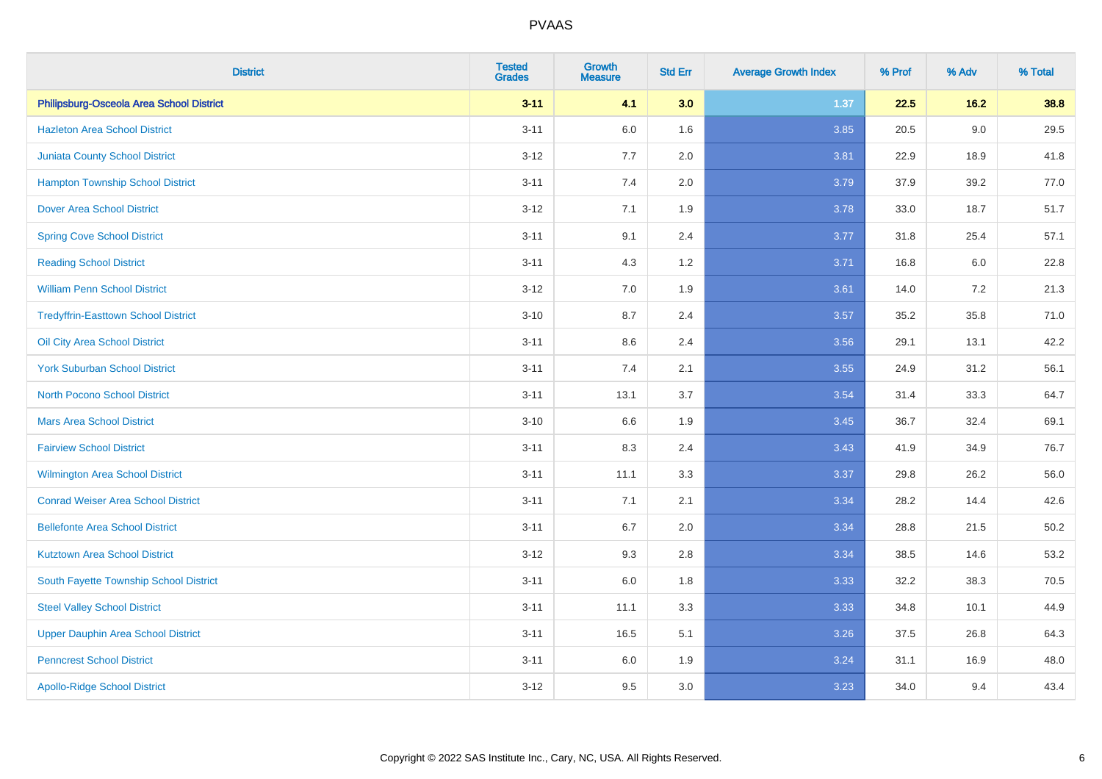| <b>District</b>                            | <b>Tested</b><br><b>Grades</b> | Growth<br><b>Measure</b> | <b>Std Err</b> | <b>Average Growth Index</b> | % Prof | % Adv | % Total |
|--------------------------------------------|--------------------------------|--------------------------|----------------|-----------------------------|--------|-------|---------|
| Philipsburg-Osceola Area School District   | $3 - 11$                       | 4.1                      | 3.0            | 1.37                        | 22.5   | 16.2  | 38.8    |
| <b>Hazleton Area School District</b>       | $3 - 11$                       | 6.0                      | 1.6            | 3.85                        | 20.5   | 9.0   | 29.5    |
| <b>Juniata County School District</b>      | $3 - 12$                       | 7.7                      | 2.0            | 3.81                        | 22.9   | 18.9  | 41.8    |
| <b>Hampton Township School District</b>    | $3 - 11$                       | 7.4                      | 2.0            | 3.79                        | 37.9   | 39.2  | 77.0    |
| <b>Dover Area School District</b>          | $3-12$                         | 7.1                      | 1.9            | 3.78                        | 33.0   | 18.7  | 51.7    |
| <b>Spring Cove School District</b>         | $3 - 11$                       | 9.1                      | 2.4            | 3.77                        | 31.8   | 25.4  | 57.1    |
| <b>Reading School District</b>             | $3 - 11$                       | 4.3                      | 1.2            | 3.71                        | 16.8   | 6.0   | 22.8    |
| <b>William Penn School District</b>        | $3 - 12$                       | 7.0                      | 1.9            | 3.61                        | 14.0   | 7.2   | 21.3    |
| <b>Tredyffrin-Easttown School District</b> | $3 - 10$                       | 8.7                      | 2.4            | 3.57                        | 35.2   | 35.8  | 71.0    |
| Oil City Area School District              | $3 - 11$                       | 8.6                      | 2.4            | 3.56                        | 29.1   | 13.1  | 42.2    |
| <b>York Suburban School District</b>       | $3 - 11$                       | 7.4                      | 2.1            | 3.55                        | 24.9   | 31.2  | 56.1    |
| <b>North Pocono School District</b>        | $3 - 11$                       | 13.1                     | 3.7            | 3.54                        | 31.4   | 33.3  | 64.7    |
| <b>Mars Area School District</b>           | $3 - 10$                       | 6.6                      | 1.9            | 3.45                        | 36.7   | 32.4  | 69.1    |
| <b>Fairview School District</b>            | $3 - 11$                       | 8.3                      | 2.4            | 3.43                        | 41.9   | 34.9  | 76.7    |
| <b>Wilmington Area School District</b>     | $3 - 11$                       | 11.1                     | 3.3            | 3.37                        | 29.8   | 26.2  | 56.0    |
| <b>Conrad Weiser Area School District</b>  | $3 - 11$                       | 7.1                      | 2.1            | 3.34                        | 28.2   | 14.4  | 42.6    |
| <b>Bellefonte Area School District</b>     | $3 - 11$                       | 6.7                      | 2.0            | 3.34                        | 28.8   | 21.5  | 50.2    |
| <b>Kutztown Area School District</b>       | $3-12$                         | 9.3                      | 2.8            | 3.34                        | 38.5   | 14.6  | 53.2    |
| South Fayette Township School District     | $3 - 11$                       | $6.0\,$                  | 1.8            | 3.33                        | 32.2   | 38.3  | 70.5    |
| <b>Steel Valley School District</b>        | $3 - 11$                       | 11.1                     | 3.3            | 3.33                        | 34.8   | 10.1  | 44.9    |
| Upper Dauphin Area School District         | $3 - 11$                       | 16.5                     | 5.1            | 3.26                        | 37.5   | 26.8  | 64.3    |
| <b>Penncrest School District</b>           | $3 - 11$                       | 6.0                      | 1.9            | 3.24                        | 31.1   | 16.9  | 48.0    |
| <b>Apollo-Ridge School District</b>        | $3 - 12$                       | 9.5                      | 3.0            | 3.23                        | 34.0   | 9.4   | 43.4    |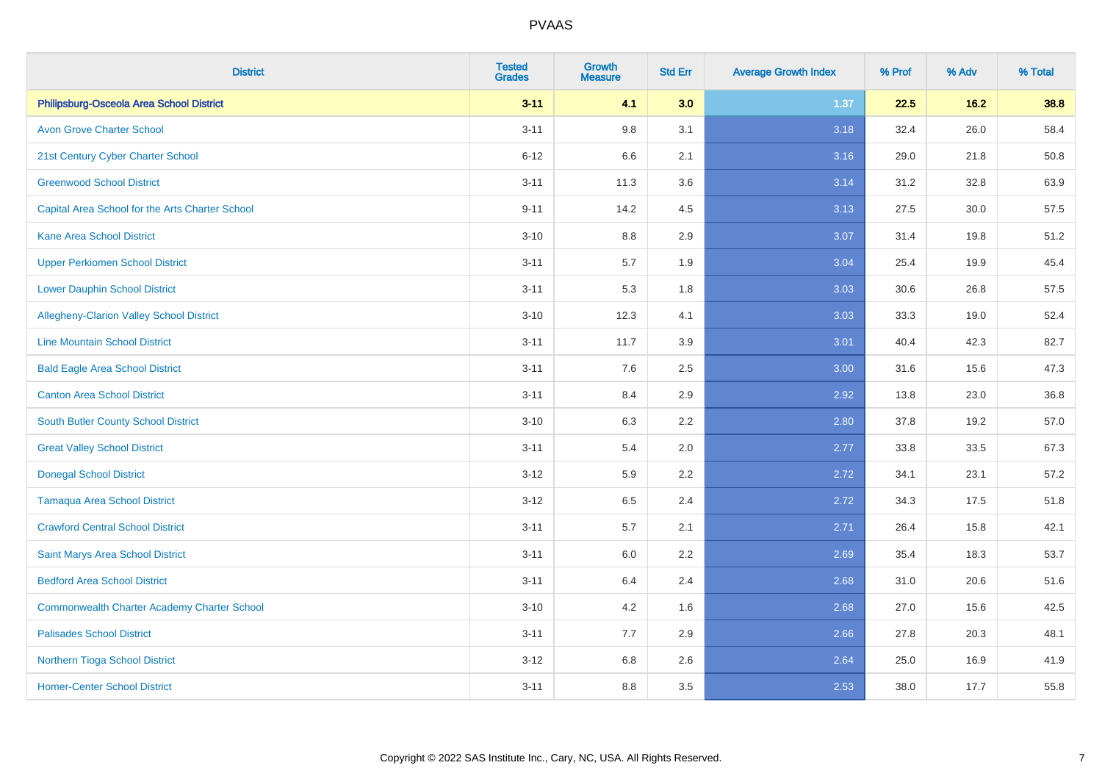| <b>District</b>                                    | <b>Tested</b><br><b>Grades</b> | Growth<br><b>Measure</b> | <b>Std Err</b> | <b>Average Growth Index</b> | % Prof | % Adv | % Total |
|----------------------------------------------------|--------------------------------|--------------------------|----------------|-----------------------------|--------|-------|---------|
| Philipsburg-Osceola Area School District           | $3 - 11$                       | 4.1                      | 3.0            | 1.37                        | 22.5   | 16.2  | 38.8    |
| <b>Avon Grove Charter School</b>                   | $3 - 11$                       | $9.8\,$                  | 3.1            | 3.18                        | 32.4   | 26.0  | 58.4    |
| 21st Century Cyber Charter School                  | $6 - 12$                       | 6.6                      | 2.1            | 3.16                        | 29.0   | 21.8  | 50.8    |
| <b>Greenwood School District</b>                   | $3 - 11$                       | 11.3                     | 3.6            | 3.14                        | 31.2   | 32.8  | 63.9    |
| Capital Area School for the Arts Charter School    | $9 - 11$                       | 14.2                     | 4.5            | 3.13                        | 27.5   | 30.0  | 57.5    |
| <b>Kane Area School District</b>                   | $3 - 10$                       | $8.8\,$                  | 2.9            | 3.07                        | 31.4   | 19.8  | 51.2    |
| <b>Upper Perkiomen School District</b>             | $3 - 11$                       | 5.7                      | 1.9            | 3.04                        | 25.4   | 19.9  | 45.4    |
| <b>Lower Dauphin School District</b>               | $3 - 11$                       | 5.3                      | 1.8            | 3.03                        | 30.6   | 26.8  | 57.5    |
| Allegheny-Clarion Valley School District           | $3 - 10$                       | 12.3                     | 4.1            | 3.03                        | 33.3   | 19.0  | 52.4    |
| <b>Line Mountain School District</b>               | $3 - 11$                       | 11.7                     | 3.9            | 3.01                        | 40.4   | 42.3  | 82.7    |
| <b>Bald Eagle Area School District</b>             | $3 - 11$                       | 7.6                      | 2.5            | 3.00                        | 31.6   | 15.6  | 47.3    |
| <b>Canton Area School District</b>                 | $3 - 11$                       | 8.4                      | 2.9            | 2.92                        | 13.8   | 23.0  | 36.8    |
| South Butler County School District                | $3 - 10$                       | 6.3                      | 2.2            | 2.80                        | 37.8   | 19.2  | 57.0    |
| <b>Great Valley School District</b>                | $3 - 11$                       | 5.4                      | 2.0            | 2.77                        | 33.8   | 33.5  | 67.3    |
| <b>Donegal School District</b>                     | $3 - 12$                       | 5.9                      | 2.2            | 2.72                        | 34.1   | 23.1  | 57.2    |
| <b>Tamaqua Area School District</b>                | $3 - 12$                       | 6.5                      | 2.4            | 2.72                        | 34.3   | 17.5  | 51.8    |
| <b>Crawford Central School District</b>            | $3 - 11$                       | 5.7                      | 2.1            | 2.71                        | 26.4   | 15.8  | 42.1    |
| Saint Marys Area School District                   | $3 - 11$                       | 6.0                      | 2.2            | 2.69                        | 35.4   | 18.3  | 53.7    |
| <b>Bedford Area School District</b>                | $3 - 11$                       | 6.4                      | 2.4            | 2.68                        | 31.0   | 20.6  | 51.6    |
| <b>Commonwealth Charter Academy Charter School</b> | $3 - 10$                       | 4.2                      | 1.6            | 2.68                        | 27.0   | 15.6  | 42.5    |
| <b>Palisades School District</b>                   | $3 - 11$                       | 7.7                      | 2.9            | 2.66                        | 27.8   | 20.3  | 48.1    |
| <b>Northern Tioga School District</b>              | $3 - 12$                       | 6.8                      | 2.6            | 2.64                        | 25.0   | 16.9  | 41.9    |
| <b>Homer-Center School District</b>                | $3 - 11$                       | 8.8                      | 3.5            | 2.53                        | 38.0   | 17.7  | 55.8    |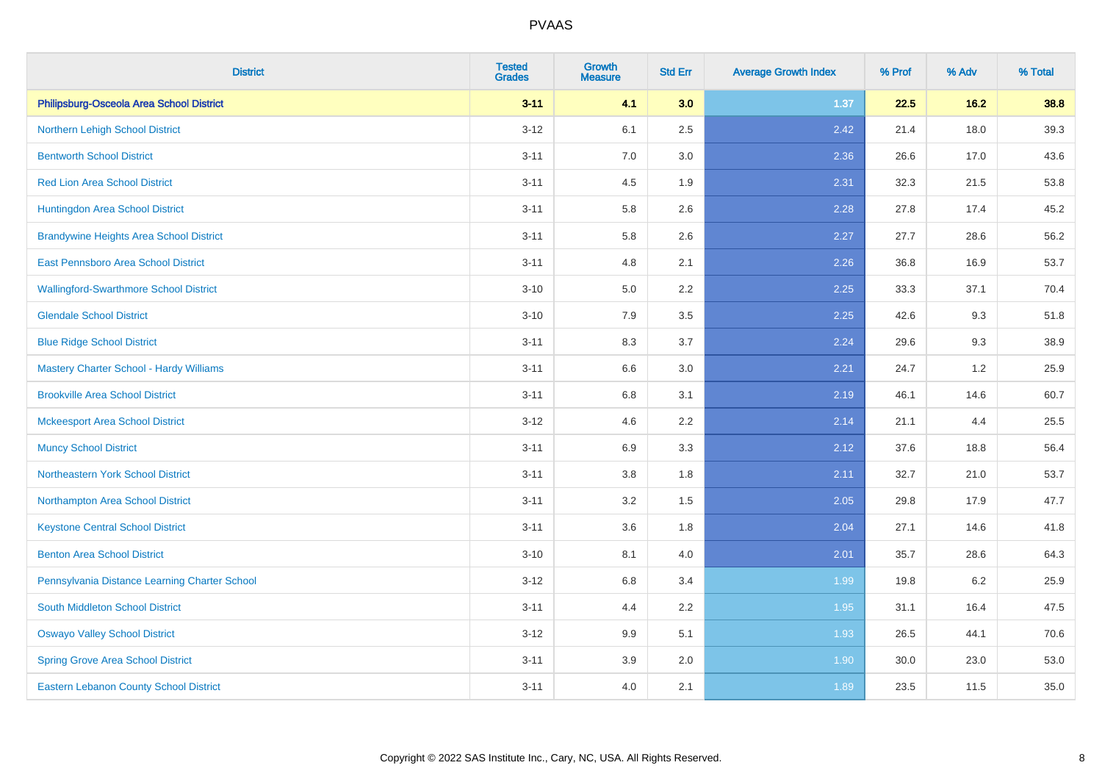| <b>District</b>                                | <b>Tested</b><br><b>Grades</b> | Growth<br><b>Measure</b> | <b>Std Err</b> | <b>Average Growth Index</b> | % Prof | % Adv | % Total |
|------------------------------------------------|--------------------------------|--------------------------|----------------|-----------------------------|--------|-------|---------|
| Philipsburg-Osceola Area School District       | $3 - 11$                       | 4.1                      | 3.0            | 1.37                        | 22.5   | 16.2  | 38.8    |
| Northern Lehigh School District                | $3 - 12$                       | 6.1                      | 2.5            | 2.42                        | 21.4   | 18.0  | 39.3    |
| <b>Bentworth School District</b>               | $3 - 11$                       | 7.0                      | 3.0            | 2.36                        | 26.6   | 17.0  | 43.6    |
| <b>Red Lion Area School District</b>           | $3 - 11$                       | 4.5                      | 1.9            | 2.31                        | 32.3   | 21.5  | 53.8    |
| Huntingdon Area School District                | $3 - 11$                       | 5.8                      | 2.6            | 2.28                        | 27.8   | 17.4  | 45.2    |
| <b>Brandywine Heights Area School District</b> | $3 - 11$                       | 5.8                      | 2.6            | 2.27                        | 27.7   | 28.6  | 56.2    |
| East Pennsboro Area School District            | $3 - 11$                       | 4.8                      | 2.1            | 2.26                        | 36.8   | 16.9  | 53.7    |
| <b>Wallingford-Swarthmore School District</b>  | $3 - 10$                       | 5.0                      | 2.2            | 2.25                        | 33.3   | 37.1  | 70.4    |
| <b>Glendale School District</b>                | $3 - 10$                       | 7.9                      | 3.5            | 2.25                        | 42.6   | 9.3   | 51.8    |
| <b>Blue Ridge School District</b>              | $3 - 11$                       | 8.3                      | 3.7            | 2.24                        | 29.6   | 9.3   | 38.9    |
| <b>Mastery Charter School - Hardy Williams</b> | $3 - 11$                       | 6.6                      | 3.0            | 2.21                        | 24.7   | 1.2   | 25.9    |
| <b>Brookville Area School District</b>         | $3 - 11$                       | $6.8\,$                  | 3.1            | 2.19                        | 46.1   | 14.6  | 60.7    |
| <b>Mckeesport Area School District</b>         | $3 - 12$                       | 4.6                      | 2.2            | 2.14                        | 21.1   | 4.4   | 25.5    |
| <b>Muncy School District</b>                   | $3 - 11$                       | 6.9                      | 3.3            | 2.12                        | 37.6   | 18.8  | 56.4    |
| Northeastern York School District              | $3 - 11$                       | $3.8\,$                  | 1.8            | 2.11                        | 32.7   | 21.0  | 53.7    |
| Northampton Area School District               | $3 - 11$                       | 3.2                      | 1.5            | 2.05                        | 29.8   | 17.9  | 47.7    |
| <b>Keystone Central School District</b>        | $3 - 11$                       | 3.6                      | 1.8            | 2.04                        | 27.1   | 14.6  | 41.8    |
| <b>Benton Area School District</b>             | $3 - 10$                       | 8.1                      | 4.0            | 2.01                        | 35.7   | 28.6  | 64.3    |
| Pennsylvania Distance Learning Charter School  | $3 - 12$                       | $6.8\,$                  | 3.4            | 1.99                        | 19.8   | 6.2   | 25.9    |
| South Middleton School District                | $3 - 11$                       | 4.4                      | 2.2            | 1.95                        | 31.1   | 16.4  | 47.5    |
| <b>Oswayo Valley School District</b>           | $3 - 12$                       | 9.9                      | 5.1            | 1.93                        | 26.5   | 44.1  | 70.6    |
| <b>Spring Grove Area School District</b>       | $3 - 11$                       | 3.9                      | 2.0            | 1.90                        | 30.0   | 23.0  | 53.0    |
| <b>Eastern Lebanon County School District</b>  | $3 - 11$                       | $4.0\,$                  | 2.1            | 1.89                        | 23.5   | 11.5  | 35.0    |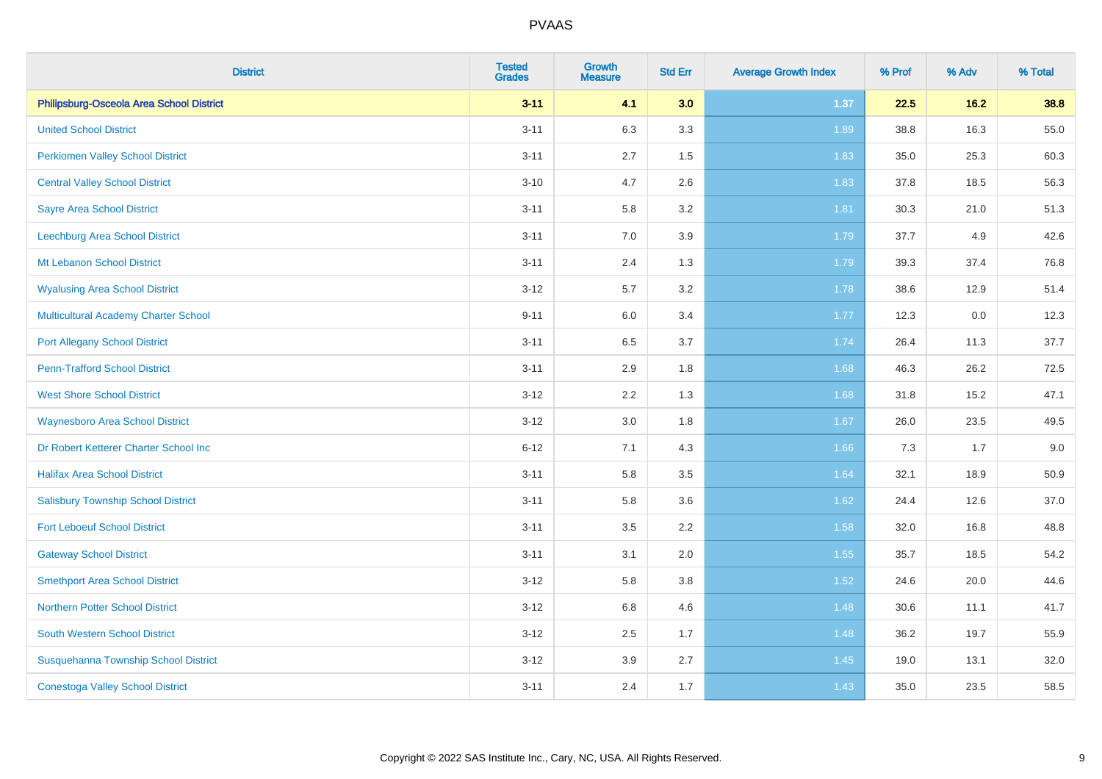| <b>District</b>                             | <b>Tested</b><br><b>Grades</b> | Growth<br><b>Measure</b> | <b>Std Err</b> | <b>Average Growth Index</b> | % Prof | % Adv | % Total |
|---------------------------------------------|--------------------------------|--------------------------|----------------|-----------------------------|--------|-------|---------|
| Philipsburg-Osceola Area School District    | $3 - 11$                       | 4.1                      | 3.0            | 1.37                        | 22.5   | 16.2  | 38.8    |
| <b>United School District</b>               | $3 - 11$                       | 6.3                      | 3.3            | 1.89                        | 38.8   | 16.3  | 55.0    |
| <b>Perkiomen Valley School District</b>     | $3 - 11$                       | 2.7                      | 1.5            | 1.83                        | 35.0   | 25.3  | 60.3    |
| <b>Central Valley School District</b>       | $3 - 10$                       | 4.7                      | 2.6            | 1.83                        | 37.8   | 18.5  | 56.3    |
| <b>Sayre Area School District</b>           | $3 - 11$                       | 5.8                      | 3.2            | 1.81                        | 30.3   | 21.0  | 51.3    |
| <b>Leechburg Area School District</b>       | $3 - 11$                       | 7.0                      | 3.9            | 1.79                        | 37.7   | 4.9   | 42.6    |
| Mt Lebanon School District                  | $3 - 11$                       | 2.4                      | 1.3            | 1.79                        | 39.3   | 37.4  | 76.8    |
| <b>Wyalusing Area School District</b>       | $3 - 12$                       | 5.7                      | 3.2            | 1.78                        | 38.6   | 12.9  | 51.4    |
| <b>Multicultural Academy Charter School</b> | $9 - 11$                       | 6.0                      | 3.4            | 1.77                        | 12.3   | 0.0   | 12.3    |
| <b>Port Allegany School District</b>        | $3 - 11$                       | 6.5                      | 3.7            | 1.74                        | 26.4   | 11.3  | 37.7    |
| <b>Penn-Trafford School District</b>        | $3 - 11$                       | 2.9                      | 1.8            | 1.68                        | 46.3   | 26.2  | 72.5    |
| <b>West Shore School District</b>           | $3 - 12$                       | 2.2                      | 1.3            | 1.68                        | 31.8   | 15.2  | 47.1    |
| <b>Waynesboro Area School District</b>      | $3 - 12$                       | $3.0\,$                  | 1.8            | 1.67                        | 26.0   | 23.5  | 49.5    |
| Dr Robert Ketterer Charter School Inc       | $6 - 12$                       | 7.1                      | 4.3            | 1.66                        | 7.3    | 1.7   | 9.0     |
| <b>Halifax Area School District</b>         | $3 - 11$                       | 5.8                      | 3.5            | 1.64                        | 32.1   | 18.9  | 50.9    |
| <b>Salisbury Township School District</b>   | $3 - 11$                       | 5.8                      | 3.6            | 1.62                        | 24.4   | 12.6  | 37.0    |
| <b>Fort Leboeuf School District</b>         | $3 - 11$                       | 3.5                      | 2.2            | 1.58                        | 32.0   | 16.8  | 48.8    |
| <b>Gateway School District</b>              | $3 - 11$                       | 3.1                      | 2.0            | 1.55                        | 35.7   | 18.5  | 54.2    |
| <b>Smethport Area School District</b>       | $3 - 12$                       | 5.8                      | 3.8            | 1.52                        | 24.6   | 20.0  | 44.6    |
| <b>Northern Potter School District</b>      | $3 - 12$                       | $6.8\,$                  | 4.6            | 1.48                        | 30.6   | 11.1  | 41.7    |
| South Western School District               | $3 - 12$                       | $2.5\,$                  | 1.7            | 1.48                        | 36.2   | 19.7  | 55.9    |
| Susquehanna Township School District        | $3 - 12$                       | 3.9                      | 2.7            | 1.45                        | 19.0   | 13.1  | 32.0    |
| <b>Conestoga Valley School District</b>     | $3 - 11$                       | 2.4                      | 1.7            | 1.43                        | 35.0   | 23.5  | 58.5    |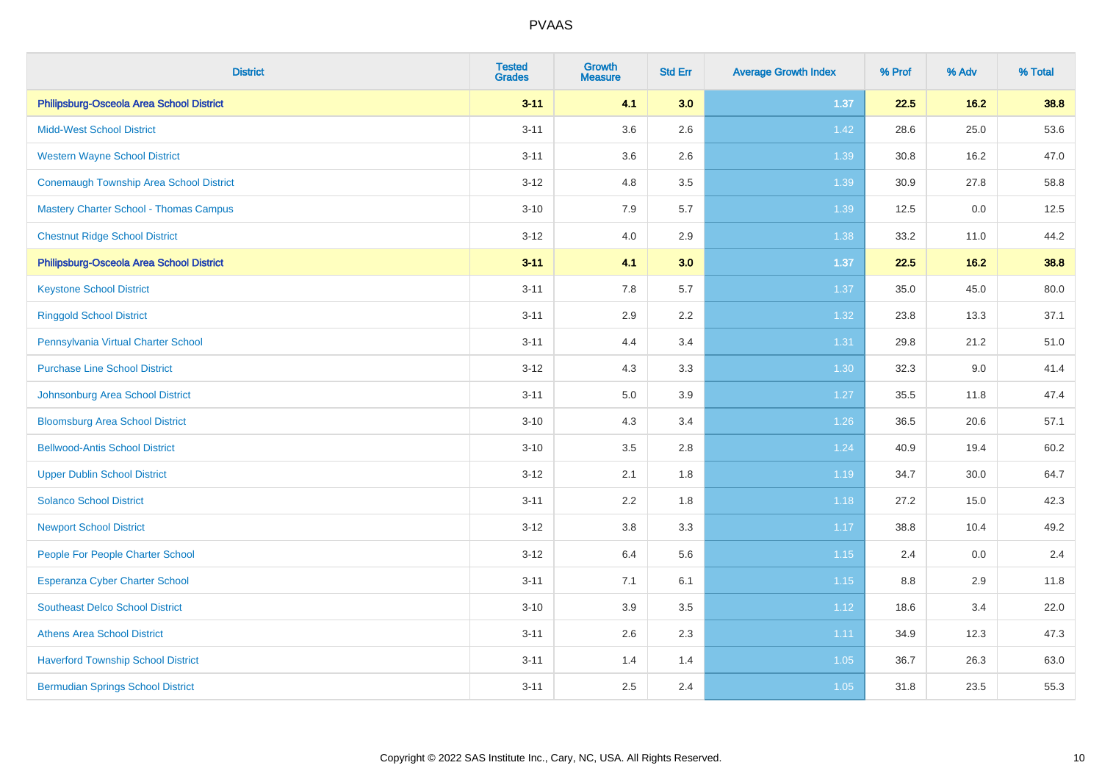| <b>District</b>                               | <b>Tested</b><br><b>Grades</b> | <b>Growth</b><br><b>Measure</b> | <b>Std Err</b> | <b>Average Growth Index</b> | % Prof | % Adv  | % Total |
|-----------------------------------------------|--------------------------------|---------------------------------|----------------|-----------------------------|--------|--------|---------|
| Philipsburg-Osceola Area School District      | $3 - 11$                       | 4.1                             | 3.0            | $1.37$                      | 22.5   | 16.2   | 38.8    |
| <b>Midd-West School District</b>              | $3 - 11$                       | 3.6                             | 2.6            | 1.42                        | 28.6   | 25.0   | 53.6    |
| <b>Western Wayne School District</b>          | $3 - 11$                       | 3.6                             | 2.6            | 1.39                        | 30.8   | 16.2   | 47.0    |
| Conemaugh Township Area School District       | $3 - 12$                       | 4.8                             | 3.5            | 1.39                        | 30.9   | 27.8   | 58.8    |
| <b>Mastery Charter School - Thomas Campus</b> | $3 - 10$                       | 7.9                             | 5.7            | 1.39                        | 12.5   | 0.0    | 12.5    |
| <b>Chestnut Ridge School District</b>         | $3 - 12$                       | 4.0                             | 2.9            | 1.38                        | 33.2   | 11.0   | 44.2    |
| Philipsburg-Osceola Area School District      | $3 - 11$                       | 4.1                             | 3.0            | 1.37                        | 22.5   | $16.2$ | 38.8    |
| <b>Keystone School District</b>               | $3 - 11$                       | 7.8                             | 5.7            | 1.37                        | 35.0   | 45.0   | 80.0    |
| <b>Ringgold School District</b>               | $3 - 11$                       | 2.9                             | 2.2            | 1.32                        | 23.8   | 13.3   | 37.1    |
| Pennsylvania Virtual Charter School           | $3 - 11$                       | 4.4                             | 3.4            | 1.31                        | 29.8   | 21.2   | 51.0    |
| <b>Purchase Line School District</b>          | $3 - 12$                       | 4.3                             | 3.3            | $1.30$                      | 32.3   | 9.0    | 41.4    |
| Johnsonburg Area School District              | $3 - 11$                       | 5.0                             | 3.9            | 1.27                        | 35.5   | 11.8   | 47.4    |
| <b>Bloomsburg Area School District</b>        | $3 - 10$                       | 4.3                             | 3.4            | 1.26                        | 36.5   | 20.6   | 57.1    |
| <b>Bellwood-Antis School District</b>         | $3 - 10$                       | 3.5                             | 2.8            | 1.24                        | 40.9   | 19.4   | 60.2    |
| <b>Upper Dublin School District</b>           | $3 - 12$                       | 2.1                             | 1.8            | 1.19                        | 34.7   | 30.0   | 64.7    |
| <b>Solanco School District</b>                | $3 - 11$                       | 2.2                             | 1.8            | 1.18                        | 27.2   | 15.0   | 42.3    |
| <b>Newport School District</b>                | $3 - 12$                       | $3.8\,$                         | 3.3            | 1.17                        | 38.8   | 10.4   | 49.2    |
| People For People Charter School              | $3 - 12$                       | 6.4                             | 5.6            | 1.15                        | 2.4    | 0.0    | 2.4     |
| <b>Esperanza Cyber Charter School</b>         | $3 - 11$                       | 7.1                             | 6.1            | 1.15                        | 8.8    | 2.9    | 11.8    |
| <b>Southeast Delco School District</b>        | $3 - 10$                       | 3.9                             | 3.5            | 1.12                        | 18.6   | 3.4    | 22.0    |
| <b>Athens Area School District</b>            | $3 - 11$                       | 2.6                             | 2.3            | 1.11                        | 34.9   | 12.3   | 47.3    |
| <b>Haverford Township School District</b>     | $3 - 11$                       | 1.4                             | 1.4            | 1.05                        | 36.7   | 26.3   | 63.0    |
| <b>Bermudian Springs School District</b>      | $3 - 11$                       | 2.5                             | 2.4            | 1.05                        | 31.8   | 23.5   | 55.3    |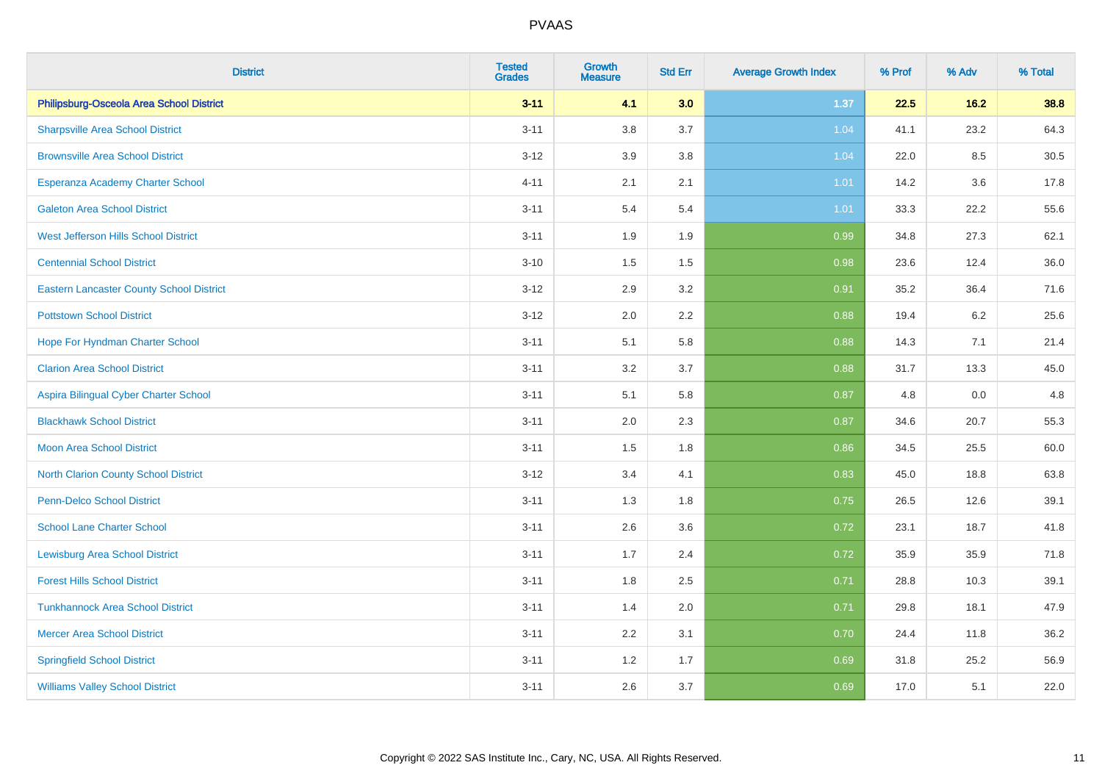| <b>District</b>                                 | <b>Tested</b><br><b>Grades</b> | <b>Growth</b><br><b>Measure</b> | <b>Std Err</b> | <b>Average Growth Index</b> | % Prof | % Adv | % Total |
|-------------------------------------------------|--------------------------------|---------------------------------|----------------|-----------------------------|--------|-------|---------|
| Philipsburg-Osceola Area School District        | $3 - 11$                       | 4.1                             | 3.0            | 1.37                        | 22.5   | 16.2  | 38.8    |
| <b>Sharpsville Area School District</b>         | $3 - 11$                       | 3.8                             | 3.7            | 1.04                        | 41.1   | 23.2  | 64.3    |
| <b>Brownsville Area School District</b>         | $3 - 12$                       | 3.9                             | 3.8            | 1.04                        | 22.0   | 8.5   | 30.5    |
| Esperanza Academy Charter School                | $4 - 11$                       | 2.1                             | 2.1            | 1.01                        | 14.2   | 3.6   | 17.8    |
| <b>Galeton Area School District</b>             | $3 - 11$                       | 5.4                             | 5.4            | 1.01                        | 33.3   | 22.2  | 55.6    |
| <b>West Jefferson Hills School District</b>     | $3 - 11$                       | 1.9                             | 1.9            | 0.99                        | 34.8   | 27.3  | 62.1    |
| <b>Centennial School District</b>               | $3 - 10$                       | 1.5                             | 1.5            | 0.98                        | 23.6   | 12.4  | 36.0    |
| <b>Eastern Lancaster County School District</b> | $3 - 12$                       | 2.9                             | 3.2            | 0.91                        | 35.2   | 36.4  | 71.6    |
| <b>Pottstown School District</b>                | $3 - 12$                       | 2.0                             | 2.2            | 0.88                        | 19.4   | 6.2   | 25.6    |
| Hope For Hyndman Charter School                 | $3 - 11$                       | 5.1                             | 5.8            | 0.88                        | 14.3   | 7.1   | 21.4    |
| <b>Clarion Area School District</b>             | $3 - 11$                       | 3.2                             | 3.7            | 0.88                        | 31.7   | 13.3  | 45.0    |
| Aspira Bilingual Cyber Charter School           | $3 - 11$                       | 5.1                             | 5.8            | 0.87                        | 4.8    | 0.0   | 4.8     |
| <b>Blackhawk School District</b>                | $3 - 11$                       | 2.0                             | 2.3            | 0.87                        | 34.6   | 20.7  | 55.3    |
| <b>Moon Area School District</b>                | $3 - 11$                       | 1.5                             | 1.8            | 0.86                        | 34.5   | 25.5  | 60.0    |
| <b>North Clarion County School District</b>     | $3 - 12$                       | 3.4                             | 4.1            | 0.83                        | 45.0   | 18.8  | 63.8    |
| <b>Penn-Delco School District</b>               | $3 - 11$                       | 1.3                             | 1.8            | 0.75                        | 26.5   | 12.6  | 39.1    |
| <b>School Lane Charter School</b>               | $3 - 11$                       | 2.6                             | 3.6            | 0.72                        | 23.1   | 18.7  | 41.8    |
| <b>Lewisburg Area School District</b>           | $3 - 11$                       | 1.7                             | 2.4            | 0.72                        | 35.9   | 35.9  | 71.8    |
| <b>Forest Hills School District</b>             | $3 - 11$                       | 1.8                             | 2.5            | 0.71                        | 28.8   | 10.3  | 39.1    |
| <b>Tunkhannock Area School District</b>         | $3 - 11$                       | 1.4                             | 2.0            | 0.71                        | 29.8   | 18.1  | 47.9    |
| <b>Mercer Area School District</b>              | $3 - 11$                       | $2.2\,$                         | 3.1            | 0.70                        | 24.4   | 11.8  | 36.2    |
| <b>Springfield School District</b>              | $3 - 11$                       | 1.2                             | 1.7            | 0.69                        | 31.8   | 25.2  | 56.9    |
| <b>Williams Valley School District</b>          | $3 - 11$                       | 2.6                             | 3.7            | 0.69                        | 17.0   | 5.1   | 22.0    |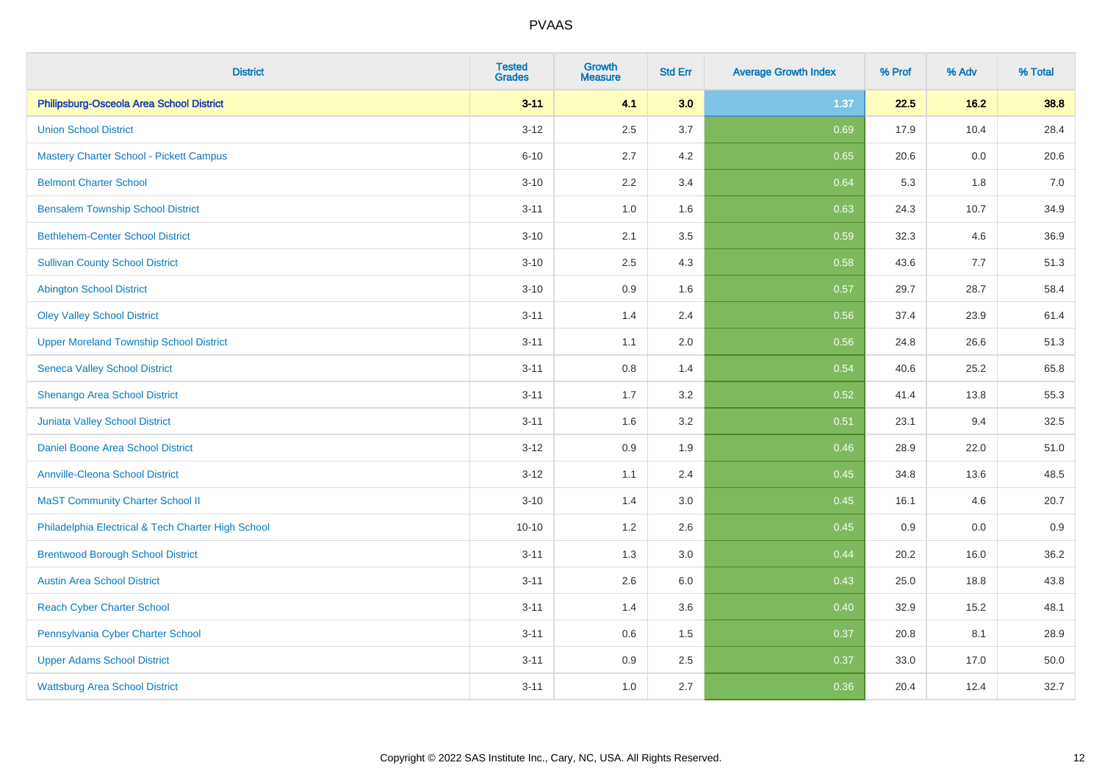| <b>District</b>                                    | <b>Tested</b><br><b>Grades</b> | <b>Growth</b><br><b>Measure</b> | <b>Std Err</b> | <b>Average Growth Index</b> | % Prof | % Adv | % Total |
|----------------------------------------------------|--------------------------------|---------------------------------|----------------|-----------------------------|--------|-------|---------|
| Philipsburg-Osceola Area School District           | $3 - 11$                       | 4.1                             | 3.0            | 1.37                        | 22.5   | 16.2  | 38.8    |
| <b>Union School District</b>                       | $3 - 12$                       | 2.5                             | 3.7            | 0.69                        | 17.9   | 10.4  | 28.4    |
| <b>Mastery Charter School - Pickett Campus</b>     | $6 - 10$                       | 2.7                             | 4.2            | 0.65                        | 20.6   | 0.0   | 20.6    |
| <b>Belmont Charter School</b>                      | $3 - 10$                       | 2.2                             | 3.4            | 0.64                        | 5.3    | 1.8   | 7.0     |
| <b>Bensalem Township School District</b>           | $3 - 11$                       | 1.0                             | 1.6            | 0.63                        | 24.3   | 10.7  | 34.9    |
| <b>Bethlehem-Center School District</b>            | $3 - 10$                       | 2.1                             | 3.5            | 0.59                        | 32.3   | 4.6   | 36.9    |
| <b>Sullivan County School District</b>             | $3 - 10$                       | 2.5                             | 4.3            | 0.58                        | 43.6   | 7.7   | 51.3    |
| <b>Abington School District</b>                    | $3 - 10$                       | 0.9                             | 1.6            | 0.57                        | 29.7   | 28.7  | 58.4    |
| <b>Oley Valley School District</b>                 | $3 - 11$                       | 1.4                             | 2.4            | 0.56                        | 37.4   | 23.9  | 61.4    |
| <b>Upper Moreland Township School District</b>     | $3 - 11$                       | 1.1                             | 2.0            | 0.56                        | 24.8   | 26.6  | 51.3    |
| <b>Seneca Valley School District</b>               | $3 - 11$                       | 0.8                             | 1.4            | 0.54                        | 40.6   | 25.2  | 65.8    |
| Shenango Area School District                      | $3 - 11$                       | 1.7                             | 3.2            | 0.52                        | 41.4   | 13.8  | 55.3    |
| Juniata Valley School District                     | $3 - 11$                       | 1.6                             | 3.2            | 0.51                        | 23.1   | 9.4   | 32.5    |
| Daniel Boone Area School District                  | $3 - 12$                       | 0.9                             | 1.9            | 0.46                        | 28.9   | 22.0  | 51.0    |
| <b>Annville-Cleona School District</b>             | $3 - 12$                       | 1.1                             | 2.4            | 0.45                        | 34.8   | 13.6  | 48.5    |
| <b>MaST Community Charter School II</b>            | $3 - 10$                       | 1.4                             | 3.0            | 0.45                        | 16.1   | 4.6   | 20.7    |
| Philadelphia Electrical & Tech Charter High School | $10 - 10$                      | 1.2                             | 2.6            | 0.45                        | 0.9    | 0.0   | 0.9     |
| <b>Brentwood Borough School District</b>           | $3 - 11$                       | 1.3                             | 3.0            | 0.44                        | 20.2   | 16.0  | 36.2    |
| <b>Austin Area School District</b>                 | $3 - 11$                       | 2.6                             | 6.0            | 0.43                        | 25.0   | 18.8  | 43.8    |
| <b>Reach Cyber Charter School</b>                  | $3 - 11$                       | 1.4                             | 3.6            | 0.40                        | 32.9   | 15.2  | 48.1    |
| Pennsylvania Cyber Charter School                  | $3 - 11$                       | 0.6                             | 1.5            | 0.37                        | 20.8   | 8.1   | 28.9    |
| <b>Upper Adams School District</b>                 | $3 - 11$                       | 0.9                             | 2.5            | 0.37                        | 33.0   | 17.0  | 50.0    |
| <b>Wattsburg Area School District</b>              | $3 - 11$                       | 1.0                             | 2.7            | 0.36                        | 20.4   | 12.4  | 32.7    |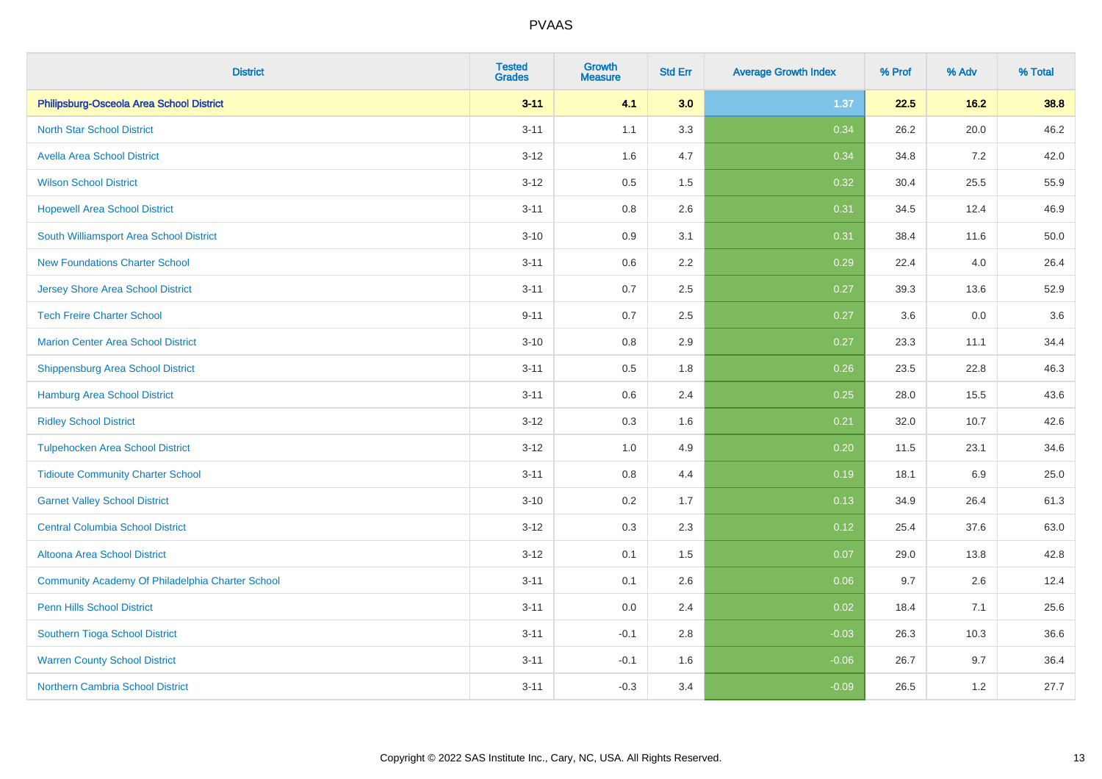| <b>District</b>                                  | <b>Tested</b><br><b>Grades</b> | Growth<br><b>Measure</b> | <b>Std Err</b> | <b>Average Growth Index</b> | % Prof | % Adv   | % Total  |
|--------------------------------------------------|--------------------------------|--------------------------|----------------|-----------------------------|--------|---------|----------|
| Philipsburg-Osceola Area School District         | $3 - 11$                       | 4.1                      | 3.0            | 1.37                        | 22.5   | 16.2    | 38.8     |
| <b>North Star School District</b>                | $3 - 11$                       | 1.1                      | 3.3            | 0.34                        | 26.2   | 20.0    | 46.2     |
| <b>Avella Area School District</b>               | $3 - 12$                       | 1.6                      | 4.7            | 0.34                        | 34.8   | 7.2     | 42.0     |
| <b>Wilson School District</b>                    | $3 - 12$                       | 0.5                      | 1.5            | 0.32                        | 30.4   | 25.5    | 55.9     |
| <b>Hopewell Area School District</b>             | $3 - 11$                       | 0.8                      | 2.6            | 0.31                        | 34.5   | 12.4    | 46.9     |
| South Williamsport Area School District          | $3 - 10$                       | 0.9                      | 3.1            | 0.31                        | 38.4   | 11.6    | $50.0\,$ |
| <b>New Foundations Charter School</b>            | $3 - 11$                       | 0.6                      | 2.2            | 0.29                        | 22.4   | 4.0     | 26.4     |
| <b>Jersey Shore Area School District</b>         | $3 - 11$                       | 0.7                      | 2.5            | 0.27                        | 39.3   | 13.6    | 52.9     |
| <b>Tech Freire Charter School</b>                | $9 - 11$                       | 0.7                      | 2.5            | 0.27                        | 3.6    | 0.0     | 3.6      |
| <b>Marion Center Area School District</b>        | $3 - 10$                       | 0.8                      | 2.9            | 0.27                        | 23.3   | 11.1    | 34.4     |
| Shippensburg Area School District                | $3 - 11$                       | 0.5                      | 1.8            | 0.26                        | 23.5   | 22.8    | 46.3     |
| <b>Hamburg Area School District</b>              | $3 - 11$                       | 0.6                      | 2.4            | 0.25                        | 28.0   | 15.5    | 43.6     |
| <b>Ridley School District</b>                    | $3 - 12$                       | 0.3                      | 1.6            | 0.21                        | 32.0   | 10.7    | 42.6     |
| <b>Tulpehocken Area School District</b>          | $3 - 12$                       | 1.0                      | 4.9            | 0.20                        | 11.5   | 23.1    | 34.6     |
| <b>Tidioute Community Charter School</b>         | $3 - 11$                       | $0.8\,$                  | 4.4            | 0.19                        | 18.1   | $6.9\,$ | 25.0     |
| <b>Garnet Valley School District</b>             | $3 - 10$                       | 0.2                      | 1.7            | 0.13                        | 34.9   | 26.4    | 61.3     |
| <b>Central Columbia School District</b>          | $3 - 12$                       | 0.3                      | 2.3            | 0.12                        | 25.4   | 37.6    | 63.0     |
| Altoona Area School District                     | $3 - 12$                       | 0.1                      | 1.5            | 0.07                        | 29.0   | 13.8    | 42.8     |
| Community Academy Of Philadelphia Charter School | $3 - 11$                       | 0.1                      | 2.6            | 0.06                        | 9.7    | 2.6     | 12.4     |
| Penn Hills School District                       | $3 - 11$                       | 0.0                      | 2.4            | 0.02                        | 18.4   | 7.1     | 25.6     |
| Southern Tioga School District                   | $3 - 11$                       | $-0.1$                   | 2.8            | $-0.03$                     | 26.3   | 10.3    | 36.6     |
| <b>Warren County School District</b>             | $3 - 11$                       | $-0.1$                   | 1.6            | $-0.06$                     | 26.7   | 9.7     | 36.4     |
| <b>Northern Cambria School District</b>          | $3 - 11$                       | $-0.3$                   | 3.4            | $-0.09$                     | 26.5   | 1.2     | 27.7     |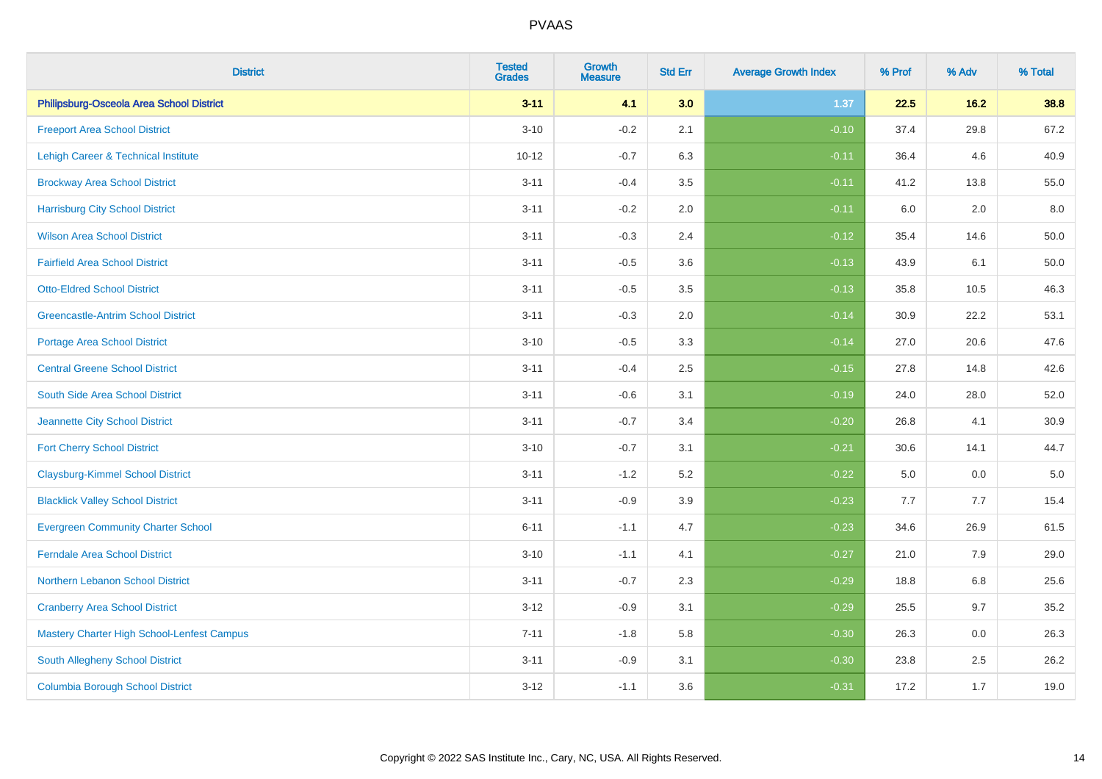| <b>District</b>                            | <b>Tested</b><br><b>Grades</b> | Growth<br><b>Measure</b> | <b>Std Err</b> | <b>Average Growth Index</b> | % Prof | % Adv | % Total  |
|--------------------------------------------|--------------------------------|--------------------------|----------------|-----------------------------|--------|-------|----------|
| Philipsburg-Osceola Area School District   | $3 - 11$                       | 4.1                      | 3.0            | 1.37                        | 22.5   | 16.2  | 38.8     |
| <b>Freeport Area School District</b>       | $3 - 10$                       | $-0.2$                   | 2.1            | $-0.10$                     | 37.4   | 29.8  | 67.2     |
| Lehigh Career & Technical Institute        | $10 - 12$                      | $-0.7$                   | 6.3            | $-0.11$                     | 36.4   | 4.6   | 40.9     |
| <b>Brockway Area School District</b>       | $3 - 11$                       | $-0.4$                   | 3.5            | $-0.11$                     | 41.2   | 13.8  | 55.0     |
| <b>Harrisburg City School District</b>     | $3 - 11$                       | $-0.2$                   | 2.0            | $-0.11$                     | 6.0    | 2.0   | 8.0      |
| <b>Wilson Area School District</b>         | $3 - 11$                       | $-0.3$                   | 2.4            | $-0.12$                     | 35.4   | 14.6  | 50.0     |
| <b>Fairfield Area School District</b>      | $3 - 11$                       | $-0.5$                   | 3.6            | $-0.13$                     | 43.9   | 6.1   | 50.0     |
| <b>Otto-Eldred School District</b>         | $3 - 11$                       | $-0.5$                   | 3.5            | $-0.13$                     | 35.8   | 10.5  | 46.3     |
| <b>Greencastle-Antrim School District</b>  | $3 - 11$                       | $-0.3$                   | 2.0            | $-0.14$                     | 30.9   | 22.2  | 53.1     |
| <b>Portage Area School District</b>        | $3 - 10$                       | $-0.5$                   | 3.3            | $-0.14$                     | 27.0   | 20.6  | 47.6     |
| <b>Central Greene School District</b>      | $3 - 11$                       | $-0.4$                   | 2.5            | $-0.15$                     | 27.8   | 14.8  | 42.6     |
| South Side Area School District            | $3 - 11$                       | $-0.6$                   | 3.1            | $-0.19$                     | 24.0   | 28.0  | 52.0     |
| Jeannette City School District             | $3 - 11$                       | $-0.7$                   | 3.4            | $-0.20$                     | 26.8   | 4.1   | $30.9\,$ |
| <b>Fort Cherry School District</b>         | $3 - 10$                       | $-0.7$                   | 3.1            | $-0.21$                     | 30.6   | 14.1  | 44.7     |
| <b>Claysburg-Kimmel School District</b>    | $3 - 11$                       | $-1.2$                   | 5.2            | $-0.22$                     | 5.0    | 0.0   | $5.0$    |
| <b>Blacklick Valley School District</b>    | $3 - 11$                       | $-0.9$                   | 3.9            | $-0.23$                     | 7.7    | 7.7   | 15.4     |
| <b>Evergreen Community Charter School</b>  | $6 - 11$                       | $-1.1$                   | 4.7            | $-0.23$                     | 34.6   | 26.9  | 61.5     |
| <b>Ferndale Area School District</b>       | $3 - 10$                       | $-1.1$                   | 4.1            | $-0.27$                     | 21.0   | 7.9   | 29.0     |
| Northern Lebanon School District           | $3 - 11$                       | $-0.7$                   | 2.3            | $-0.29$                     | 18.8   | 6.8   | 25.6     |
| <b>Cranberry Area School District</b>      | $3 - 12$                       | $-0.9$                   | 3.1            | $-0.29$                     | 25.5   | 9.7   | 35.2     |
| Mastery Charter High School-Lenfest Campus | $7 - 11$                       | $-1.8$                   | 5.8            | $-0.30$                     | 26.3   | 0.0   | 26.3     |
| South Allegheny School District            | $3 - 11$                       | $-0.9$                   | 3.1            | $-0.30$                     | 23.8   | 2.5   | 26.2     |
| <b>Columbia Borough School District</b>    | $3 - 12$                       | $-1.1$                   | 3.6            | $-0.31$                     | 17.2   | 1.7   | 19.0     |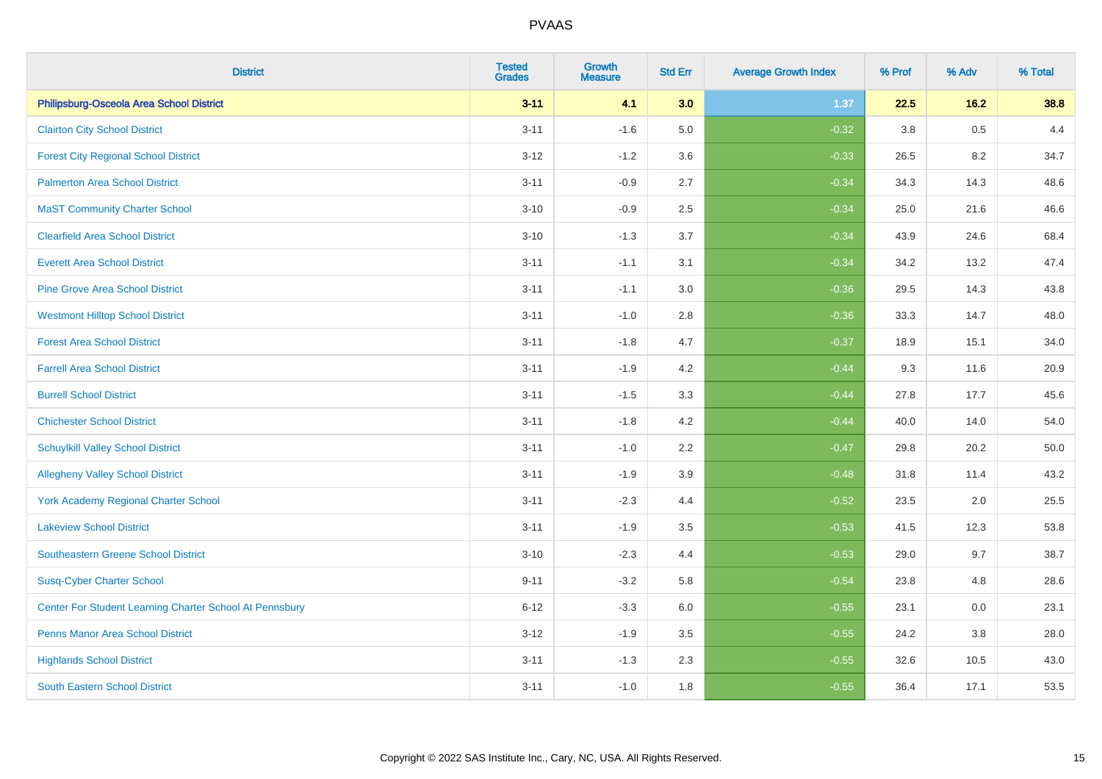| <b>District</b>                                         | <b>Tested</b><br><b>Grades</b> | Growth<br><b>Measure</b> | <b>Std Err</b> | <b>Average Growth Index</b> | % Prof | % Adv | % Total |
|---------------------------------------------------------|--------------------------------|--------------------------|----------------|-----------------------------|--------|-------|---------|
| Philipsburg-Osceola Area School District                | $3 - 11$                       | 4.1                      | 3.0            | 1.37                        | 22.5   | 16.2  | 38.8    |
| <b>Clairton City School District</b>                    | $3 - 11$                       | $-1.6$                   | 5.0            | $-0.32$                     | 3.8    | 0.5   | 4.4     |
| <b>Forest City Regional School District</b>             | $3 - 12$                       | $-1.2$                   | 3.6            | $-0.33$                     | 26.5   | 8.2   | 34.7    |
| <b>Palmerton Area School District</b>                   | $3 - 11$                       | $-0.9$                   | 2.7            | $-0.34$                     | 34.3   | 14.3  | 48.6    |
| <b>MaST Community Charter School</b>                    | $3 - 10$                       | $-0.9$                   | 2.5            | $-0.34$                     | 25.0   | 21.6  | 46.6    |
| <b>Clearfield Area School District</b>                  | $3 - 10$                       | $-1.3$                   | 3.7            | $-0.34$                     | 43.9   | 24.6  | 68.4    |
| <b>Everett Area School District</b>                     | $3 - 11$                       | $-1.1$                   | 3.1            | $-0.34$                     | 34.2   | 13.2  | 47.4    |
| <b>Pine Grove Area School District</b>                  | $3 - 11$                       | $-1.1$                   | 3.0            | $-0.36$                     | 29.5   | 14.3  | 43.8    |
| <b>Westmont Hilltop School District</b>                 | $3 - 11$                       | $-1.0$                   | 2.8            | $-0.36$                     | 33.3   | 14.7  | 48.0    |
| <b>Forest Area School District</b>                      | $3 - 11$                       | $-1.8$                   | 4.7            | $-0.37$                     | 18.9   | 15.1  | 34.0    |
| <b>Farrell Area School District</b>                     | $3 - 11$                       | $-1.9$                   | 4.2            | $-0.44$                     | 9.3    | 11.6  | 20.9    |
| <b>Burrell School District</b>                          | $3 - 11$                       | $-1.5$                   | 3.3            | $-0.44$                     | 27.8   | 17.7  | 45.6    |
| <b>Chichester School District</b>                       | $3 - 11$                       | $-1.8$                   | 4.2            | $-0.44$                     | 40.0   | 14.0  | 54.0    |
| <b>Schuylkill Valley School District</b>                | $3 - 11$                       | $-1.0$                   | 2.2            | $-0.47$                     | 29.8   | 20.2  | 50.0    |
| <b>Allegheny Valley School District</b>                 | $3 - 11$                       | $-1.9$                   | 3.9            | $-0.48$                     | 31.8   | 11.4  | 43.2    |
| <b>York Academy Regional Charter School</b>             | $3 - 11$                       | $-2.3$                   | 4.4            | $-0.52$                     | 23.5   | 2.0   | 25.5    |
| <b>Lakeview School District</b>                         | $3 - 11$                       | $-1.9$                   | 3.5            | $-0.53$                     | 41.5   | 12.3  | 53.8    |
| <b>Southeastern Greene School District</b>              | $3 - 10$                       | $-2.3$                   | 4.4            | $-0.53$                     | 29.0   | 9.7   | 38.7    |
| <b>Susq-Cyber Charter School</b>                        | $9 - 11$                       | $-3.2$                   | 5.8            | $-0.54$                     | 23.8   | 4.8   | 28.6    |
| Center For Student Learning Charter School At Pennsbury | $6 - 12$                       | $-3.3$                   | 6.0            | $-0.55$                     | 23.1   | 0.0   | 23.1    |
| <b>Penns Manor Area School District</b>                 | $3 - 12$                       | $-1.9$                   | 3.5            | $-0.55$                     | 24.2   | 3.8   | 28.0    |
| <b>Highlands School District</b>                        | $3 - 11$                       | $-1.3$                   | 2.3            | $-0.55$                     | 32.6   | 10.5  | 43.0    |
| South Eastern School District                           | $3 - 11$                       | $-1.0$                   | 1.8            | $-0.55$                     | 36.4   | 17.1  | 53.5    |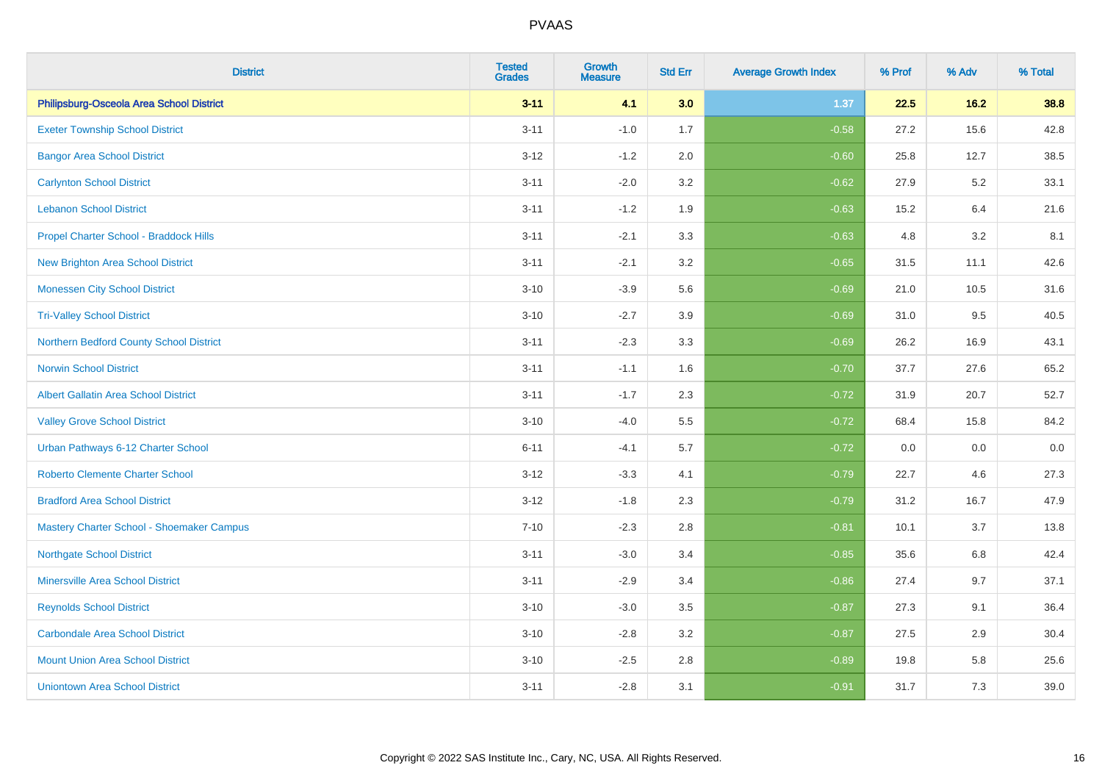| <b>District</b>                             | <b>Tested</b><br><b>Grades</b> | Growth<br><b>Measure</b> | <b>Std Err</b> | <b>Average Growth Index</b> | % Prof | % Adv | % Total |
|---------------------------------------------|--------------------------------|--------------------------|----------------|-----------------------------|--------|-------|---------|
| Philipsburg-Osceola Area School District    | $3 - 11$                       | 4.1                      | 3.0            | 1.37                        | 22.5   | 16.2  | 38.8    |
| <b>Exeter Township School District</b>      | $3 - 11$                       | $-1.0$                   | 1.7            | $-0.58$                     | 27.2   | 15.6  | 42.8    |
| <b>Bangor Area School District</b>          | $3 - 12$                       | $-1.2$                   | 2.0            | $-0.60$                     | 25.8   | 12.7  | 38.5    |
| <b>Carlynton School District</b>            | $3 - 11$                       | $-2.0$                   | 3.2            | $-0.62$                     | 27.9   | 5.2   | 33.1    |
| <b>Lebanon School District</b>              | $3 - 11$                       | $-1.2$                   | 1.9            | $-0.63$                     | 15.2   | 6.4   | 21.6    |
| Propel Charter School - Braddock Hills      | $3 - 11$                       | $-2.1$                   | 3.3            | $-0.63$                     | 4.8    | 3.2   | 8.1     |
| <b>New Brighton Area School District</b>    | $3 - 11$                       | $-2.1$                   | 3.2            | $-0.65$                     | 31.5   | 11.1  | 42.6    |
| <b>Monessen City School District</b>        | $3 - 10$                       | $-3.9$                   | 5.6            | $-0.69$                     | 21.0   | 10.5  | 31.6    |
| <b>Tri-Valley School District</b>           | $3 - 10$                       | $-2.7$                   | 3.9            | $-0.69$                     | 31.0   | 9.5   | 40.5    |
| Northern Bedford County School District     | $3 - 11$                       | $-2.3$                   | 3.3            | $-0.69$                     | 26.2   | 16.9  | 43.1    |
| <b>Norwin School District</b>               | $3 - 11$                       | $-1.1$                   | 1.6            | $-0.70$                     | 37.7   | 27.6  | 65.2    |
| <b>Albert Gallatin Area School District</b> | $3 - 11$                       | $-1.7$                   | 2.3            | $-0.72$                     | 31.9   | 20.7  | 52.7    |
| <b>Valley Grove School District</b>         | $3 - 10$                       | $-4.0$                   | 5.5            | $-0.72$                     | 68.4   | 15.8  | 84.2    |
| Urban Pathways 6-12 Charter School          | $6 - 11$                       | $-4.1$                   | 5.7            | $-0.72$                     | 0.0    | 0.0   | $0.0\,$ |
| <b>Roberto Clemente Charter School</b>      | $3 - 12$                       | $-3.3$                   | 4.1            | $-0.79$                     | 22.7   | 4.6   | 27.3    |
| <b>Bradford Area School District</b>        | $3 - 12$                       | $-1.8$                   | 2.3            | $-0.79$                     | 31.2   | 16.7  | 47.9    |
| Mastery Charter School - Shoemaker Campus   | $7 - 10$                       | $-2.3$                   | 2.8            | $-0.81$                     | 10.1   | 3.7   | 13.8    |
| <b>Northgate School District</b>            | $3 - 11$                       | $-3.0$                   | 3.4            | $-0.85$                     | 35.6   | 6.8   | 42.4    |
| <b>Minersville Area School District</b>     | $3 - 11$                       | $-2.9$                   | 3.4            | $-0.86$                     | 27.4   | 9.7   | 37.1    |
| <b>Reynolds School District</b>             | $3 - 10$                       | $-3.0$                   | 3.5            | $-0.87$                     | 27.3   | 9.1   | 36.4    |
| <b>Carbondale Area School District</b>      | $3 - 10$                       | $-2.8$                   | 3.2            | $-0.87$                     | 27.5   | 2.9   | 30.4    |
| <b>Mount Union Area School District</b>     | $3 - 10$                       | $-2.5$                   | 2.8            | $-0.89$                     | 19.8   | 5.8   | 25.6    |
| <b>Uniontown Area School District</b>       | $3 - 11$                       | $-2.8$                   | 3.1            | $-0.91$                     | 31.7   | 7.3   | 39.0    |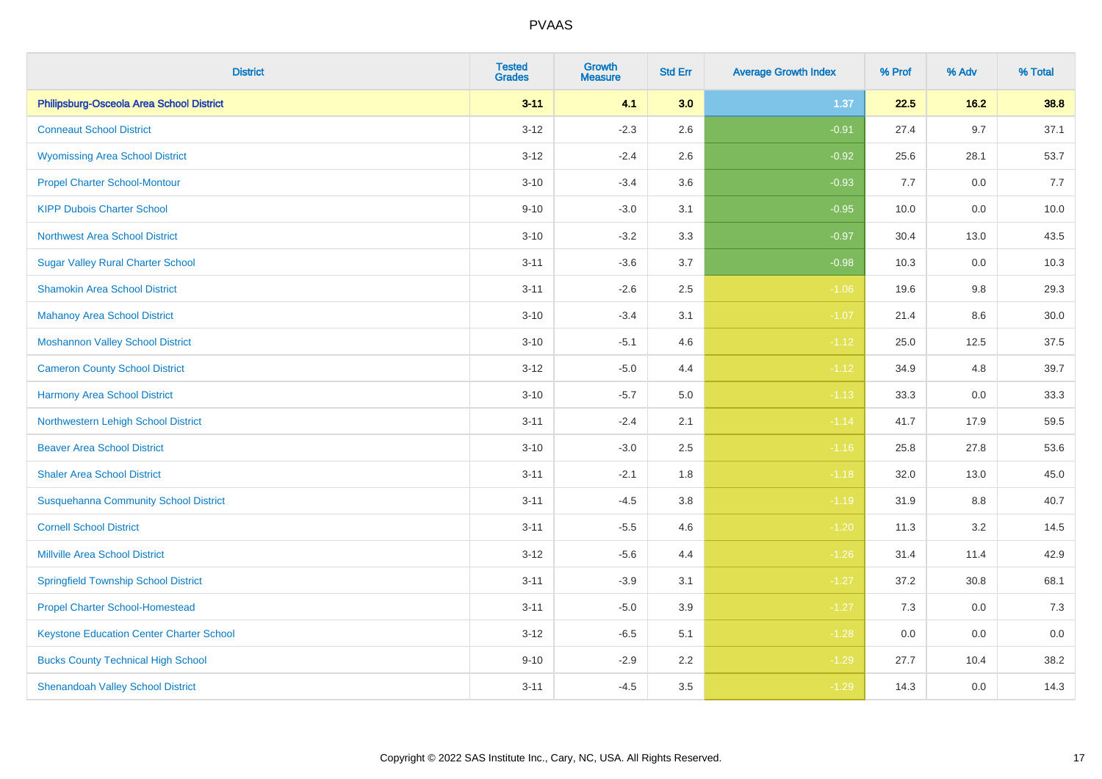| <b>District</b>                                 | <b>Tested</b><br><b>Grades</b> | <b>Growth</b><br><b>Measure</b> | <b>Std Err</b> | <b>Average Growth Index</b> | % Prof | % Adv   | % Total |
|-------------------------------------------------|--------------------------------|---------------------------------|----------------|-----------------------------|--------|---------|---------|
| Philipsburg-Osceola Area School District        | $3 - 11$                       | 4.1                             | 3.0            | 1.37                        | 22.5   | $16.2$  | 38.8    |
| <b>Conneaut School District</b>                 | $3 - 12$                       | $-2.3$                          | 2.6            | $-0.91$                     | 27.4   | 9.7     | 37.1    |
| <b>Wyomissing Area School District</b>          | $3 - 12$                       | $-2.4$                          | 2.6            | $-0.92$                     | 25.6   | 28.1    | 53.7    |
| <b>Propel Charter School-Montour</b>            | $3 - 10$                       | $-3.4$                          | 3.6            | $-0.93$                     | 7.7    | 0.0     | 7.7     |
| <b>KIPP Dubois Charter School</b>               | $9 - 10$                       | $-3.0$                          | 3.1            | $-0.95$                     | 10.0   | 0.0     | 10.0    |
| <b>Northwest Area School District</b>           | $3 - 10$                       | $-3.2$                          | 3.3            | $-0.97$                     | 30.4   | 13.0    | 43.5    |
| <b>Sugar Valley Rural Charter School</b>        | $3 - 11$                       | $-3.6$                          | 3.7            | $-0.98$                     | 10.3   | 0.0     | 10.3    |
| <b>Shamokin Area School District</b>            | $3 - 11$                       | $-2.6$                          | 2.5            | $-1.06$                     | 19.6   | 9.8     | 29.3    |
| <b>Mahanoy Area School District</b>             | $3 - 10$                       | $-3.4$                          | 3.1            | $-1.07$                     | 21.4   | 8.6     | 30.0    |
| <b>Moshannon Valley School District</b>         | $3 - 10$                       | $-5.1$                          | 4.6            | $-1.12$                     | 25.0   | 12.5    | 37.5    |
| <b>Cameron County School District</b>           | $3 - 12$                       | $-5.0$                          | 4.4            | $-1.12$                     | 34.9   | 4.8     | 39.7    |
| <b>Harmony Area School District</b>             | $3 - 10$                       | $-5.7$                          | 5.0            | $-1.13$                     | 33.3   | 0.0     | 33.3    |
| Northwestern Lehigh School District             | $3 - 11$                       | $-2.4$                          | 2.1            | $-1.14$                     | 41.7   | 17.9    | 59.5    |
| <b>Beaver Area School District</b>              | $3 - 10$                       | $-3.0$                          | 2.5            | $-1.16$                     | 25.8   | 27.8    | 53.6    |
| <b>Shaler Area School District</b>              | $3 - 11$                       | $-2.1$                          | 1.8            | $-1.18$                     | 32.0   | 13.0    | 45.0    |
| <b>Susquehanna Community School District</b>    | $3 - 11$                       | $-4.5$                          | 3.8            | $-1.19$                     | 31.9   | $8.8\,$ | 40.7    |
| <b>Cornell School District</b>                  | $3 - 11$                       | $-5.5$                          | 4.6            | $-1.20$                     | 11.3   | 3.2     | 14.5    |
| <b>Millville Area School District</b>           | $3 - 12$                       | $-5.6$                          | 4.4            | $-1.26$                     | 31.4   | 11.4    | 42.9    |
| <b>Springfield Township School District</b>     | $3 - 11$                       | $-3.9$                          | 3.1            | $-1.27$                     | 37.2   | 30.8    | 68.1    |
| <b>Propel Charter School-Homestead</b>          | $3 - 11$                       | $-5.0$                          | 3.9            | $-1.27$                     | 7.3    | 0.0     | 7.3     |
| <b>Keystone Education Center Charter School</b> | $3 - 12$                       | $-6.5$                          | 5.1            | $-1.28$                     | 0.0    | 0.0     | 0.0     |
| <b>Bucks County Technical High School</b>       | $9 - 10$                       | $-2.9$                          | 2.2            | $-1.29$                     | 27.7   | 10.4    | 38.2    |
| <b>Shenandoah Valley School District</b>        | $3 - 11$                       | $-4.5$                          | 3.5            | $-1.29$                     | 14.3   | 0.0     | 14.3    |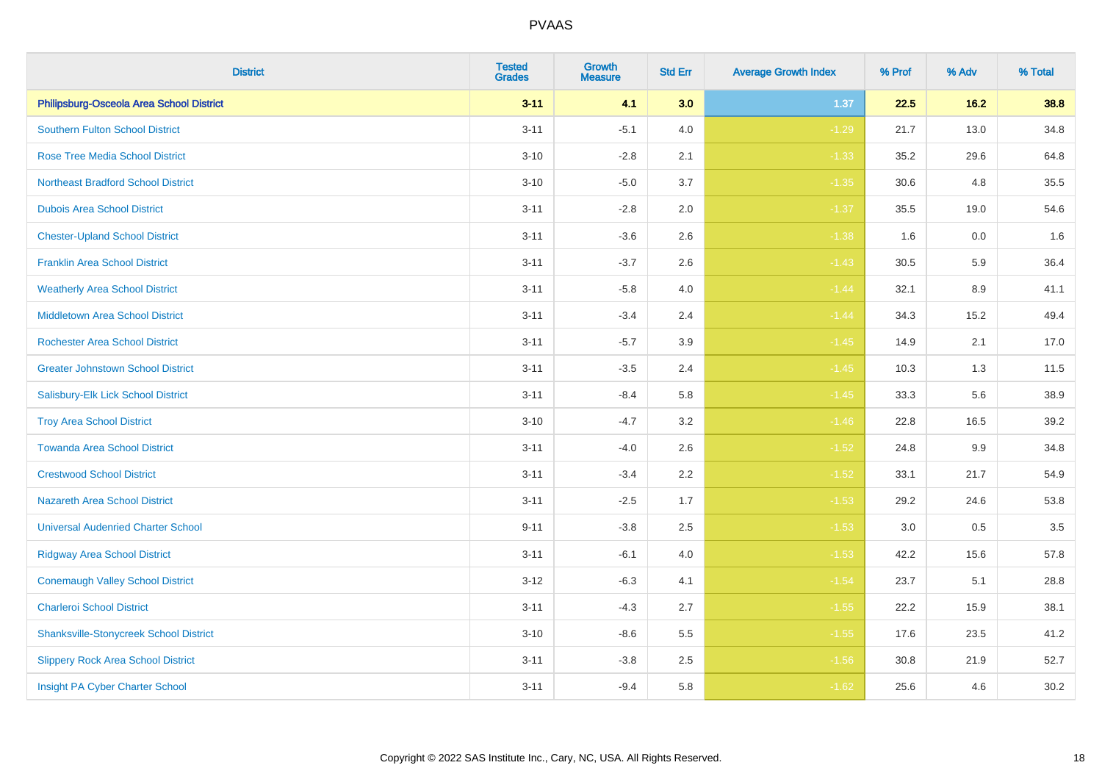| <b>District</b>                               | <b>Tested</b><br><b>Grades</b> | Growth<br><b>Measure</b> | <b>Std Err</b> | <b>Average Growth Index</b> | % Prof | % Adv   | % Total |
|-----------------------------------------------|--------------------------------|--------------------------|----------------|-----------------------------|--------|---------|---------|
| Philipsburg-Osceola Area School District      | $3 - 11$                       | 4.1                      | 3.0            | 1.37                        | 22.5   | 16.2    | 38.8    |
| <b>Southern Fulton School District</b>        | $3 - 11$                       | $-5.1$                   | 4.0            | $-1.29$                     | 21.7   | 13.0    | 34.8    |
| Rose Tree Media School District               | $3 - 10$                       | $-2.8$                   | 2.1            | $-1.33$                     | 35.2   | 29.6    | 64.8    |
| <b>Northeast Bradford School District</b>     | $3 - 10$                       | $-5.0$                   | 3.7            | $-1.35$                     | 30.6   | 4.8     | 35.5    |
| <b>Dubois Area School District</b>            | $3 - 11$                       | $-2.8$                   | 2.0            | $-1.37$                     | 35.5   | 19.0    | 54.6    |
| <b>Chester-Upland School District</b>         | $3 - 11$                       | $-3.6$                   | 2.6            | $-1.38$                     | 1.6    | $0.0\,$ | 1.6     |
| <b>Franklin Area School District</b>          | $3 - 11$                       | $-3.7$                   | 2.6            | $-1.43$                     | 30.5   | 5.9     | 36.4    |
| <b>Weatherly Area School District</b>         | $3 - 11$                       | $-5.8$                   | 4.0            | $-1.44$                     | 32.1   | 8.9     | 41.1    |
| <b>Middletown Area School District</b>        | $3 - 11$                       | $-3.4$                   | 2.4            | $-1.44$                     | 34.3   | 15.2    | 49.4    |
| <b>Rochester Area School District</b>         | $3 - 11$                       | $-5.7$                   | 3.9            | $-1.45$                     | 14.9   | 2.1     | 17.0    |
| <b>Greater Johnstown School District</b>      | $3 - 11$                       | $-3.5$                   | 2.4            | $-1.45$                     | 10.3   | 1.3     | 11.5    |
| Salisbury-Elk Lick School District            | $3 - 11$                       | $-8.4$                   | 5.8            | $-1.45$                     | 33.3   | 5.6     | 38.9    |
| <b>Troy Area School District</b>              | $3 - 10$                       | $-4.7$                   | 3.2            | $-1.46$                     | 22.8   | 16.5    | 39.2    |
| <b>Towanda Area School District</b>           | $3 - 11$                       | $-4.0$                   | 2.6            | $-1.52$                     | 24.8   | 9.9     | 34.8    |
| <b>Crestwood School District</b>              | $3 - 11$                       | $-3.4$                   | 2.2            | $-1.52$                     | 33.1   | 21.7    | 54.9    |
| <b>Nazareth Area School District</b>          | $3 - 11$                       | $-2.5$                   | 1.7            | $-1.53$                     | 29.2   | 24.6    | 53.8    |
| <b>Universal Audenried Charter School</b>     | $9 - 11$                       | $-3.8$                   | 2.5            | $-1.53$                     | 3.0    | 0.5     | 3.5     |
| <b>Ridgway Area School District</b>           | $3 - 11$                       | $-6.1$                   | 4.0            | $-1.53$                     | 42.2   | 15.6    | 57.8    |
| <b>Conemaugh Valley School District</b>       | $3-12$                         | $-6.3$                   | 4.1            | $-1.54$                     | 23.7   | 5.1     | 28.8    |
| <b>Charleroi School District</b>              | $3 - 11$                       | $-4.3$                   | 2.7            | $-1.55$                     | 22.2   | 15.9    | 38.1    |
| <b>Shanksville-Stonycreek School District</b> | $3 - 10$                       | $-8.6$                   | 5.5            | $-1.55$                     | 17.6   | 23.5    | 41.2    |
| <b>Slippery Rock Area School District</b>     | $3 - 11$                       | $-3.8$                   | 2.5            | $-1.56$                     | 30.8   | 21.9    | 52.7    |
| Insight PA Cyber Charter School               | $3 - 11$                       | $-9.4$                   | 5.8            | $-1.62$                     | 25.6   | 4.6     | 30.2    |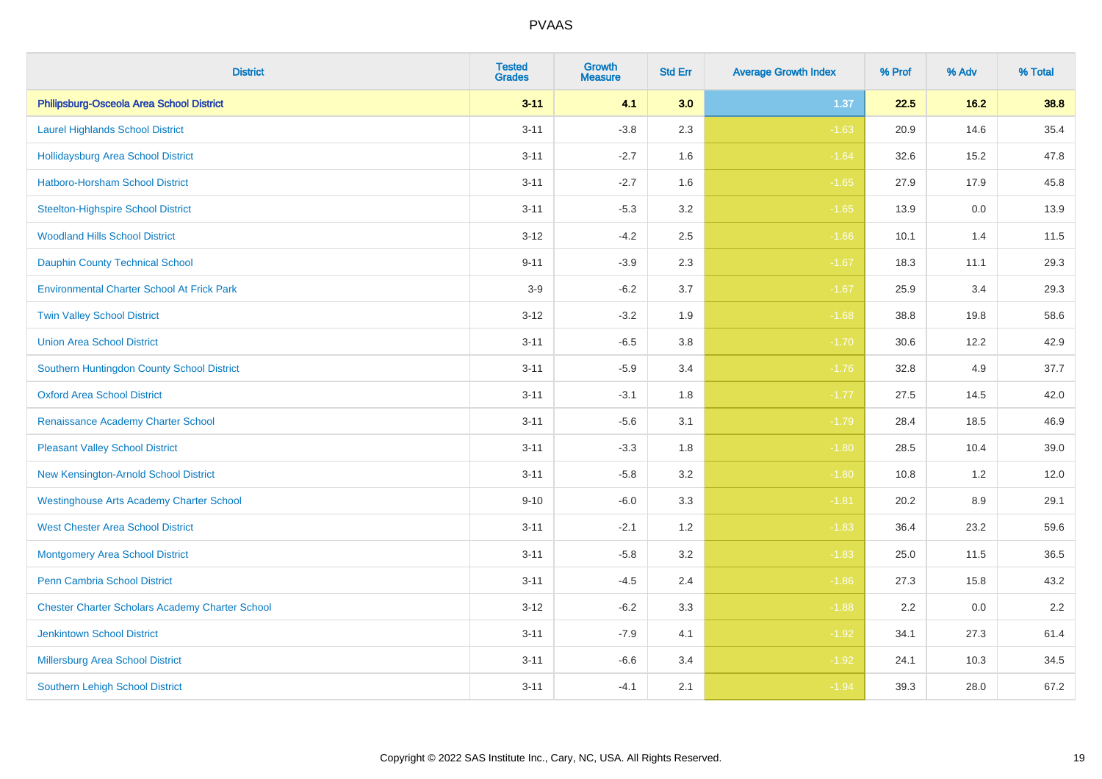| <b>District</b>                                        | <b>Tested</b><br><b>Grades</b> | <b>Growth</b><br><b>Measure</b> | <b>Std Err</b> | <b>Average Growth Index</b> | % Prof | % Adv   | % Total |
|--------------------------------------------------------|--------------------------------|---------------------------------|----------------|-----------------------------|--------|---------|---------|
| Philipsburg-Osceola Area School District               | $3 - 11$                       | 4.1                             | 3.0            | 1.37                        | 22.5   | 16.2    | 38.8    |
| <b>Laurel Highlands School District</b>                | $3 - 11$                       | $-3.8$                          | 2.3            | $-1.63$                     | 20.9   | 14.6    | 35.4    |
| <b>Hollidaysburg Area School District</b>              | $3 - 11$                       | $-2.7$                          | 1.6            | $-1.64$                     | 32.6   | 15.2    | 47.8    |
| <b>Hatboro-Horsham School District</b>                 | $3 - 11$                       | $-2.7$                          | 1.6            | $-1.65$                     | 27.9   | 17.9    | 45.8    |
| <b>Steelton-Highspire School District</b>              | $3 - 11$                       | $-5.3$                          | 3.2            | $-1.65$                     | 13.9   | 0.0     | 13.9    |
| <b>Woodland Hills School District</b>                  | $3 - 12$                       | $-4.2$                          | 2.5            | $-1.66$                     | 10.1   | 1.4     | 11.5    |
| <b>Dauphin County Technical School</b>                 | $9 - 11$                       | $-3.9$                          | 2.3            | $-1.67$                     | 18.3   | 11.1    | 29.3    |
| <b>Environmental Charter School At Frick Park</b>      | $3-9$                          | $-6.2$                          | 3.7            | $-1.67$                     | 25.9   | 3.4     | 29.3    |
| <b>Twin Valley School District</b>                     | $3-12$                         | $-3.2$                          | 1.9            | $-1.68$                     | 38.8   | 19.8    | 58.6    |
| <b>Union Area School District</b>                      | $3 - 11$                       | $-6.5$                          | 3.8            | $-1.70$                     | 30.6   | 12.2    | 42.9    |
| Southern Huntingdon County School District             | $3 - 11$                       | $-5.9$                          | 3.4            | $-1.76$                     | 32.8   | 4.9     | 37.7    |
| <b>Oxford Area School District</b>                     | $3 - 11$                       | $-3.1$                          | 1.8            | $-1.77$                     | 27.5   | 14.5    | 42.0    |
| Renaissance Academy Charter School                     | $3 - 11$                       | $-5.6$                          | 3.1            | $-1.79$                     | 28.4   | 18.5    | 46.9    |
| <b>Pleasant Valley School District</b>                 | $3 - 11$                       | $-3.3$                          | 1.8            | $-1.80$                     | 28.5   | 10.4    | 39.0    |
| New Kensington-Arnold School District                  | $3 - 11$                       | $-5.8$                          | 3.2            | $-1.80$                     | 10.8   | 1.2     | 12.0    |
| <b>Westinghouse Arts Academy Charter School</b>        | $9 - 10$                       | $-6.0$                          | 3.3            | $-1.81$                     | 20.2   | $8.9\,$ | 29.1    |
| <b>West Chester Area School District</b>               | $3 - 11$                       | $-2.1$                          | 1.2            | $-1.83$                     | 36.4   | 23.2    | 59.6    |
| <b>Montgomery Area School District</b>                 | $3 - 11$                       | $-5.8$                          | 3.2            | $-1.83$                     | 25.0   | 11.5    | 36.5    |
| <b>Penn Cambria School District</b>                    | $3 - 11$                       | $-4.5$                          | 2.4            | $-1.86$                     | 27.3   | 15.8    | 43.2    |
| <b>Chester Charter Scholars Academy Charter School</b> | $3 - 12$                       | $-6.2$                          | 3.3            | $-1.88$                     | 2.2    | 0.0     | 2.2     |
| <b>Jenkintown School District</b>                      | $3 - 11$                       | $-7.9$                          | 4.1            | $-1.92$                     | 34.1   | 27.3    | 61.4    |
| Millersburg Area School District                       | $3 - 11$                       | $-6.6$                          | 3.4            | $-1.92$                     | 24.1   | 10.3    | 34.5    |
| <b>Southern Lehigh School District</b>                 | $3 - 11$                       | $-4.1$                          | 2.1            | $-1.94$                     | 39.3   | 28.0    | 67.2    |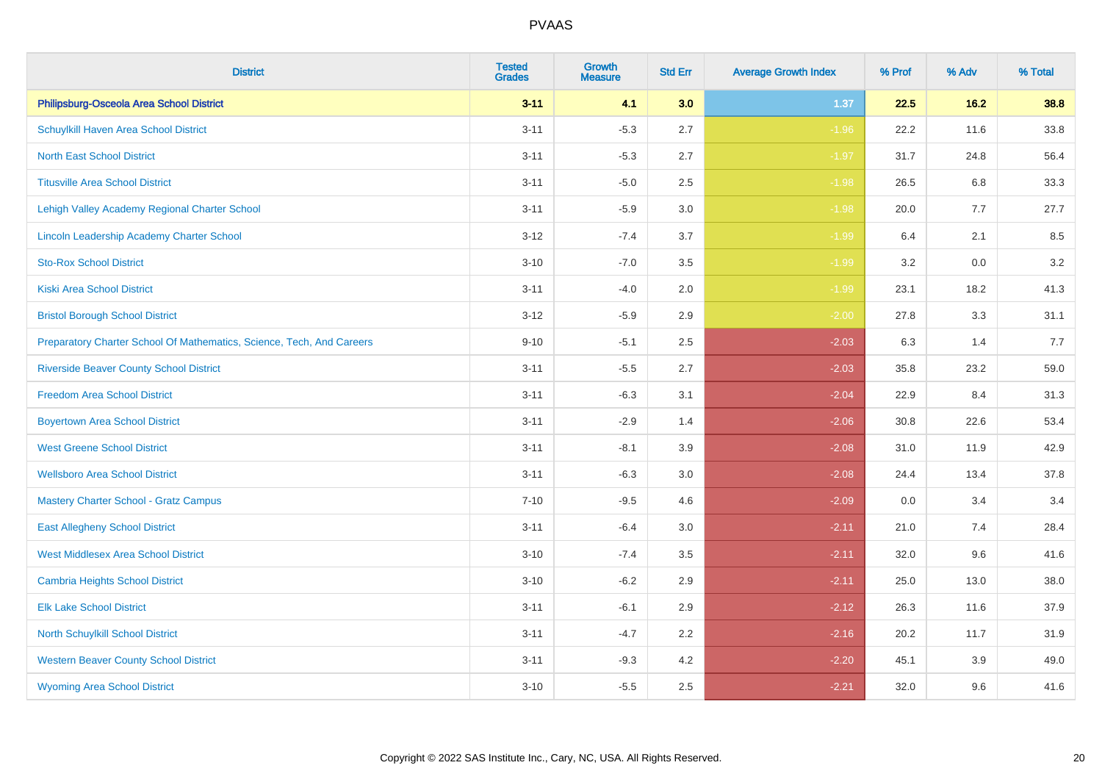| <b>District</b>                                                       | <b>Tested</b><br><b>Grades</b> | <b>Growth</b><br><b>Measure</b> | <b>Std Err</b> | <b>Average Growth Index</b> | % Prof | % Adv | % Total |
|-----------------------------------------------------------------------|--------------------------------|---------------------------------|----------------|-----------------------------|--------|-------|---------|
| Philipsburg-Osceola Area School District                              | $3 - 11$                       | 4.1                             | 3.0            | 1.37                        | 22.5   | 16.2  | 38.8    |
| <b>Schuylkill Haven Area School District</b>                          | $3 - 11$                       | $-5.3$                          | 2.7            | $-1.96$                     | 22.2   | 11.6  | 33.8    |
| <b>North East School District</b>                                     | $3 - 11$                       | $-5.3$                          | 2.7            | $-1.97$                     | 31.7   | 24.8  | 56.4    |
| <b>Titusville Area School District</b>                                | $3 - 11$                       | $-5.0$                          | 2.5            | $-1.98$                     | 26.5   | 6.8   | 33.3    |
| Lehigh Valley Academy Regional Charter School                         | $3 - 11$                       | $-5.9$                          | 3.0            | $-1.98$                     | 20.0   | 7.7   | 27.7    |
| Lincoln Leadership Academy Charter School                             | $3 - 12$                       | $-7.4$                          | 3.7            | $-1.99$                     | 6.4    | 2.1   | 8.5     |
| <b>Sto-Rox School District</b>                                        | $3 - 10$                       | $-7.0$                          | 3.5            | $-1.99$                     | 3.2    | 0.0   | 3.2     |
| <b>Kiski Area School District</b>                                     | $3 - 11$                       | $-4.0$                          | 2.0            | $-1.99$                     | 23.1   | 18.2  | 41.3    |
| <b>Bristol Borough School District</b>                                | $3 - 12$                       | $-5.9$                          | 2.9            | $-2.00$                     | 27.8   | 3.3   | 31.1    |
| Preparatory Charter School Of Mathematics, Science, Tech, And Careers | $9 - 10$                       | $-5.1$                          | 2.5            | $-2.03$                     | 6.3    | 1.4   | 7.7     |
| <b>Riverside Beaver County School District</b>                        | $3 - 11$                       | $-5.5$                          | 2.7            | $-2.03$                     | 35.8   | 23.2  | 59.0    |
| <b>Freedom Area School District</b>                                   | $3 - 11$                       | $-6.3$                          | 3.1            | $-2.04$                     | 22.9   | 8.4   | 31.3    |
| <b>Boyertown Area School District</b>                                 | $3 - 11$                       | $-2.9$                          | 1.4            | $-2.06$                     | 30.8   | 22.6  | 53.4    |
| <b>West Greene School District</b>                                    | $3 - 11$                       | $-8.1$                          | 3.9            | $-2.08$                     | 31.0   | 11.9  | 42.9    |
| <b>Wellsboro Area School District</b>                                 | $3 - 11$                       | $-6.3$                          | 3.0            | $-2.08$                     | 24.4   | 13.4  | 37.8    |
| <b>Mastery Charter School - Gratz Campus</b>                          | $7 - 10$                       | $-9.5$                          | 4.6            | $-2.09$                     | 0.0    | 3.4   | 3.4     |
| <b>East Allegheny School District</b>                                 | $3 - 11$                       | $-6.4$                          | 3.0            | $-2.11$                     | 21.0   | 7.4   | 28.4    |
| <b>West Middlesex Area School District</b>                            | $3 - 10$                       | $-7.4$                          | 3.5            | $-2.11$                     | 32.0   | 9.6   | 41.6    |
| <b>Cambria Heights School District</b>                                | $3 - 10$                       | $-6.2$                          | 2.9            | $-2.11$                     | 25.0   | 13.0  | 38.0    |
| <b>Elk Lake School District</b>                                       | $3 - 11$                       | $-6.1$                          | 2.9            | $-2.12$                     | 26.3   | 11.6  | 37.9    |
| North Schuylkill School District                                      | $3 - 11$                       | $-4.7$                          | 2.2            | $-2.16$                     | 20.2   | 11.7  | 31.9    |
| <b>Western Beaver County School District</b>                          | $3 - 11$                       | $-9.3$                          | 4.2            | $-2.20$                     | 45.1   | 3.9   | 49.0    |
| <b>Wyoming Area School District</b>                                   | $3 - 10$                       | $-5.5$                          | 2.5            | $-2.21$                     | 32.0   | 9.6   | 41.6    |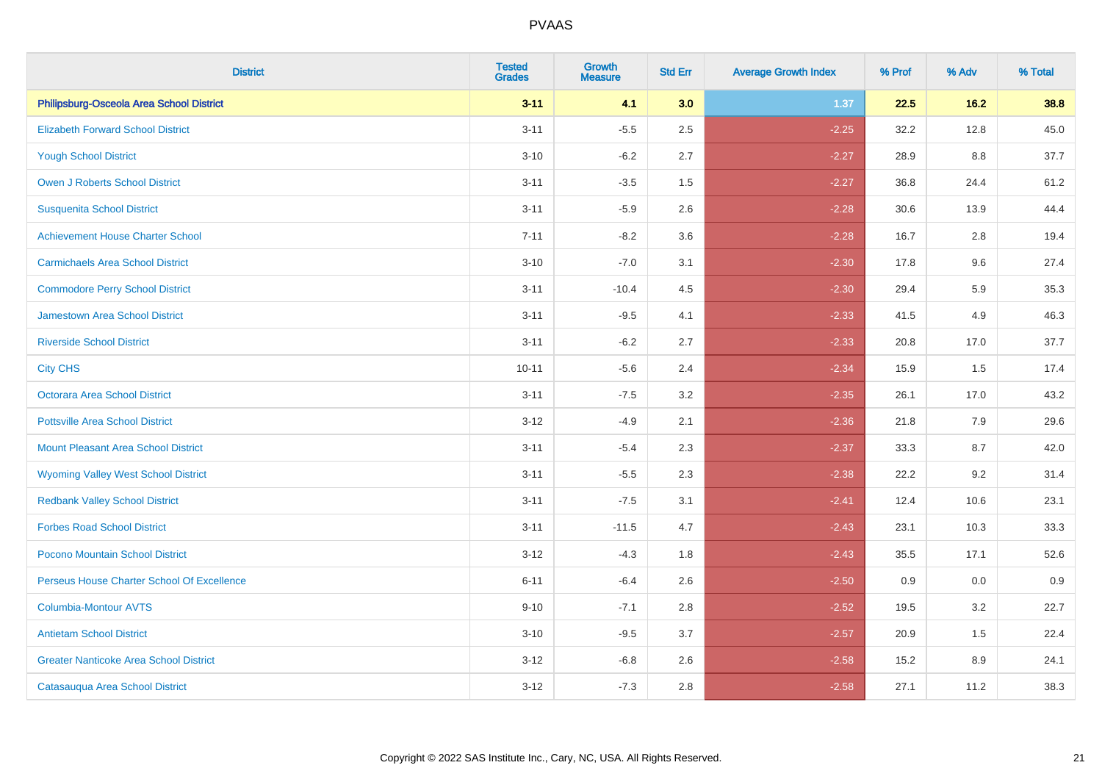| <b>District</b>                               | <b>Tested</b><br><b>Grades</b> | Growth<br><b>Measure</b> | <b>Std Err</b> | <b>Average Growth Index</b> | % Prof | % Adv | % Total |
|-----------------------------------------------|--------------------------------|--------------------------|----------------|-----------------------------|--------|-------|---------|
| Philipsburg-Osceola Area School District      | $3 - 11$                       | 4.1                      | 3.0            | 1.37                        | 22.5   | 16.2  | 38.8    |
| <b>Elizabeth Forward School District</b>      | $3 - 11$                       | $-5.5$                   | 2.5            | $-2.25$                     | 32.2   | 12.8  | 45.0    |
| <b>Yough School District</b>                  | $3 - 10$                       | $-6.2$                   | 2.7            | $-2.27$                     | 28.9   | 8.8   | 37.7    |
| <b>Owen J Roberts School District</b>         | $3 - 11$                       | $-3.5$                   | 1.5            | $-2.27$                     | 36.8   | 24.4  | 61.2    |
| <b>Susquenita School District</b>             | $3 - 11$                       | $-5.9$                   | 2.6            | $-2.28$                     | 30.6   | 13.9  | 44.4    |
| <b>Achievement House Charter School</b>       | $7 - 11$                       | $-8.2$                   | 3.6            | $-2.28$                     | 16.7   | 2.8   | 19.4    |
| <b>Carmichaels Area School District</b>       | $3 - 10$                       | $-7.0$                   | 3.1            | $-2.30$                     | 17.8   | 9.6   | 27.4    |
| <b>Commodore Perry School District</b>        | $3 - 11$                       | $-10.4$                  | 4.5            | $-2.30$                     | 29.4   | 5.9   | 35.3    |
| Jamestown Area School District                | $3 - 11$                       | $-9.5$                   | 4.1            | $-2.33$                     | 41.5   | 4.9   | 46.3    |
| <b>Riverside School District</b>              | $3 - 11$                       | $-6.2$                   | 2.7            | $-2.33$                     | 20.8   | 17.0  | 37.7    |
| <b>City CHS</b>                               | $10 - 11$                      | $-5.6$                   | 2.4            | $-2.34$                     | 15.9   | 1.5   | 17.4    |
| Octorara Area School District                 | $3 - 11$                       | $-7.5$                   | 3.2            | $-2.35$                     | 26.1   | 17.0  | 43.2    |
| <b>Pottsville Area School District</b>        | $3-12$                         | $-4.9$                   | 2.1            | $-2.36$                     | 21.8   | 7.9   | 29.6    |
| <b>Mount Pleasant Area School District</b>    | $3 - 11$                       | $-5.4$                   | 2.3            | $-2.37$                     | 33.3   | 8.7   | 42.0    |
| <b>Wyoming Valley West School District</b>    | $3 - 11$                       | $-5.5$                   | 2.3            | $-2.38$                     | 22.2   | 9.2   | 31.4    |
| <b>Redbank Valley School District</b>         | $3 - 11$                       | $-7.5$                   | 3.1            | $-2.41$                     | 12.4   | 10.6  | 23.1    |
| <b>Forbes Road School District</b>            | $3 - 11$                       | $-11.5$                  | 4.7            | $-2.43$                     | 23.1   | 10.3  | 33.3    |
| Pocono Mountain School District               | $3-12$                         | $-4.3$                   | 1.8            | $-2.43$                     | 35.5   | 17.1  | 52.6    |
| Perseus House Charter School Of Excellence    | $6 - 11$                       | $-6.4$                   | 2.6            | $-2.50$                     | 0.9    | 0.0   | 0.9     |
| <b>Columbia-Montour AVTS</b>                  | $9 - 10$                       | $-7.1$                   | 2.8            | $-2.52$                     | 19.5   | 3.2   | 22.7    |
| <b>Antietam School District</b>               | $3 - 10$                       | $-9.5$                   | 3.7            | $-2.57$                     | 20.9   | 1.5   | 22.4    |
| <b>Greater Nanticoke Area School District</b> | $3 - 12$                       | $-6.8$                   | 2.6            | $-2.58$                     | 15.2   | 8.9   | 24.1    |
| Catasauqua Area School District               | $3 - 12$                       | $-7.3$                   | 2.8            | $-2.58$                     | 27.1   | 11.2  | 38.3    |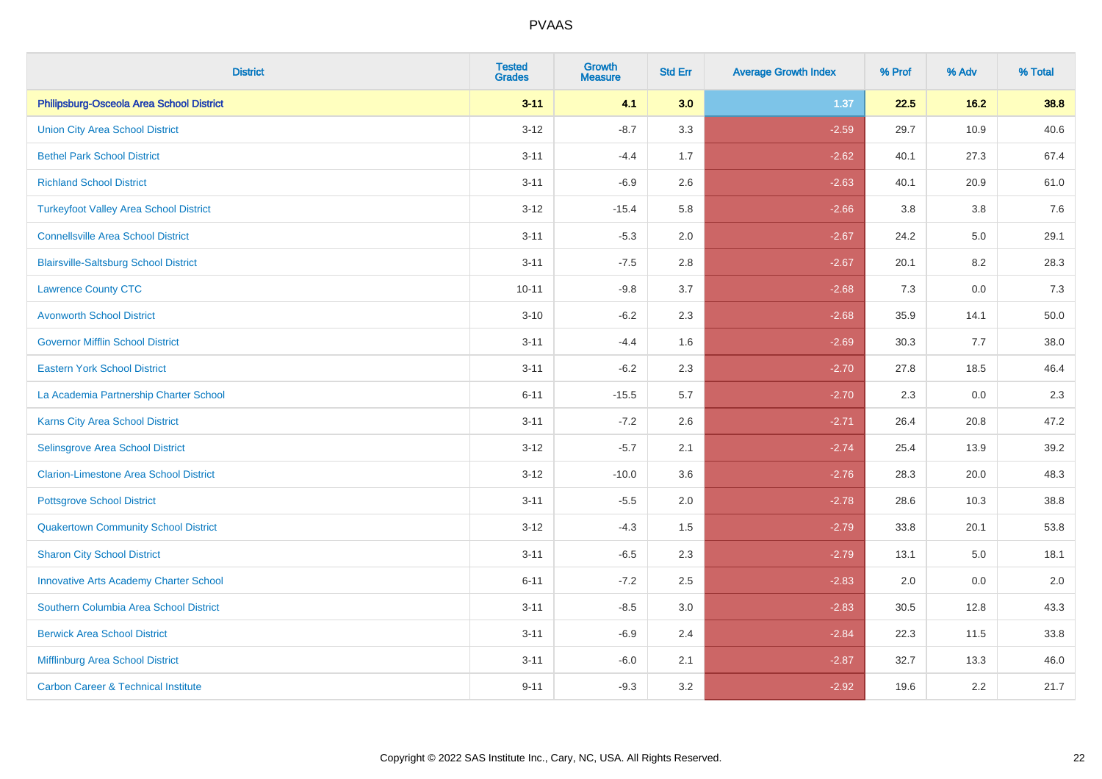| <b>District</b>                                | <b>Tested</b><br><b>Grades</b> | Growth<br><b>Measure</b> | <b>Std Err</b> | <b>Average Growth Index</b> | % Prof | % Adv | % Total |
|------------------------------------------------|--------------------------------|--------------------------|----------------|-----------------------------|--------|-------|---------|
| Philipsburg-Osceola Area School District       | $3 - 11$                       | 4.1                      | 3.0            | 1.37                        | 22.5   | 16.2  | 38.8    |
| <b>Union City Area School District</b>         | $3-12$                         | $-8.7$                   | 3.3            | $-2.59$                     | 29.7   | 10.9  | 40.6    |
| <b>Bethel Park School District</b>             | $3 - 11$                       | $-4.4$                   | 1.7            | $-2.62$                     | 40.1   | 27.3  | 67.4    |
| <b>Richland School District</b>                | $3 - 11$                       | $-6.9$                   | 2.6            | $-2.63$                     | 40.1   | 20.9  | 61.0    |
| <b>Turkeyfoot Valley Area School District</b>  | $3-12$                         | $-15.4$                  | 5.8            | $-2.66$                     | 3.8    | 3.8   | 7.6     |
| <b>Connellsville Area School District</b>      | $3 - 11$                       | $-5.3$                   | 2.0            | $-2.67$                     | 24.2   | 5.0   | 29.1    |
| <b>Blairsville-Saltsburg School District</b>   | $3 - 11$                       | $-7.5$                   | 2.8            | $-2.67$                     | 20.1   | 8.2   | 28.3    |
| <b>Lawrence County CTC</b>                     | $10 - 11$                      | $-9.8$                   | 3.7            | $-2.68$                     | 7.3    | 0.0   | 7.3     |
| <b>Avonworth School District</b>               | $3 - 10$                       | $-6.2$                   | 2.3            | $-2.68$                     | 35.9   | 14.1  | 50.0    |
| <b>Governor Mifflin School District</b>        | $3 - 11$                       | $-4.4$                   | 1.6            | $-2.69$                     | 30.3   | 7.7   | 38.0    |
| <b>Eastern York School District</b>            | $3 - 11$                       | $-6.2$                   | 2.3            | $-2.70$                     | 27.8   | 18.5  | 46.4    |
| La Academia Partnership Charter School         | $6 - 11$                       | $-15.5$                  | 5.7            | $-2.70$                     | 2.3    | 0.0   | 2.3     |
| <b>Karns City Area School District</b>         | $3 - 11$                       | $-7.2$                   | 2.6            | $-2.71$                     | 26.4   | 20.8  | 47.2    |
| Selinsgrove Area School District               | $3 - 12$                       | $-5.7$                   | 2.1            | $-2.74$                     | 25.4   | 13.9  | 39.2    |
| <b>Clarion-Limestone Area School District</b>  | $3-12$                         | $-10.0$                  | 3.6            | $-2.76$                     | 28.3   | 20.0  | 48.3    |
| <b>Pottsgrove School District</b>              | $3 - 11$                       | $-5.5$                   | 2.0            | $-2.78$                     | 28.6   | 10.3  | 38.8    |
| <b>Quakertown Community School District</b>    | $3 - 12$                       | $-4.3$                   | 1.5            | $-2.79$                     | 33.8   | 20.1  | 53.8    |
| <b>Sharon City School District</b>             | $3 - 11$                       | $-6.5$                   | 2.3            | $-2.79$                     | 13.1   | 5.0   | 18.1    |
| <b>Innovative Arts Academy Charter School</b>  | $6 - 11$                       | $-7.2$                   | 2.5            | $-2.83$                     | 2.0    | 0.0   | 2.0     |
| Southern Columbia Area School District         | $3 - 11$                       | $-8.5$                   | 3.0            | $-2.83$                     | 30.5   | 12.8  | 43.3    |
| <b>Berwick Area School District</b>            | $3 - 11$                       | $-6.9$                   | 2.4            | $-2.84$                     | 22.3   | 11.5  | 33.8    |
| Mifflinburg Area School District               | $3 - 11$                       | $-6.0$                   | 2.1            | $-2.87$                     | 32.7   | 13.3  | 46.0    |
| <b>Carbon Career &amp; Technical Institute</b> | $9 - 11$                       | $-9.3$                   | 3.2            | $-2.92$                     | 19.6   | 2.2   | 21.7    |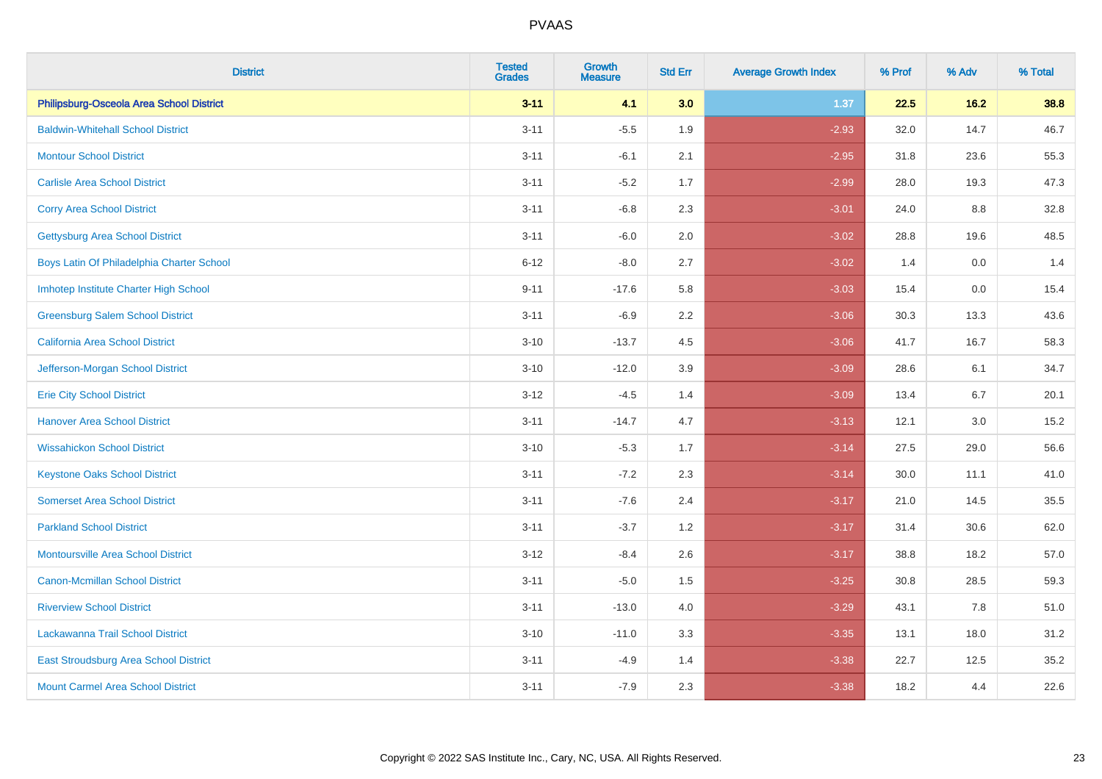| <b>District</b>                           | <b>Tested</b><br><b>Grades</b> | <b>Growth</b><br><b>Measure</b> | <b>Std Err</b> | <b>Average Growth Index</b> | % Prof | % Adv   | % Total |
|-------------------------------------------|--------------------------------|---------------------------------|----------------|-----------------------------|--------|---------|---------|
| Philipsburg-Osceola Area School District  | $3 - 11$                       | 4.1                             | 3.0            | 1.37                        | 22.5   | $16.2$  | 38.8    |
| <b>Baldwin-Whitehall School District</b>  | $3 - 11$                       | $-5.5$                          | 1.9            | $-2.93$                     | 32.0   | 14.7    | 46.7    |
| <b>Montour School District</b>            | $3 - 11$                       | $-6.1$                          | 2.1            | $-2.95$                     | 31.8   | 23.6    | 55.3    |
| <b>Carlisle Area School District</b>      | $3 - 11$                       | $-5.2$                          | 1.7            | $-2.99$                     | 28.0   | 19.3    | 47.3    |
| <b>Corry Area School District</b>         | $3 - 11$                       | $-6.8$                          | 2.3            | $-3.01$                     | 24.0   | 8.8     | 32.8    |
| <b>Gettysburg Area School District</b>    | $3 - 11$                       | $-6.0$                          | 2.0            | $-3.02$                     | 28.8   | 19.6    | 48.5    |
| Boys Latin Of Philadelphia Charter School | $6 - 12$                       | $-8.0$                          | 2.7            | $-3.02$                     | 1.4    | 0.0     | 1.4     |
| Imhotep Institute Charter High School     | $9 - 11$                       | $-17.6$                         | 5.8            | $-3.03$                     | 15.4   | 0.0     | 15.4    |
| <b>Greensburg Salem School District</b>   | $3 - 11$                       | $-6.9$                          | 2.2            | $-3.06$                     | 30.3   | 13.3    | 43.6    |
| California Area School District           | $3 - 10$                       | $-13.7$                         | 4.5            | $-3.06$                     | 41.7   | 16.7    | 58.3    |
| Jefferson-Morgan School District          | $3 - 10$                       | $-12.0$                         | 3.9            | $-3.09$                     | 28.6   | 6.1     | 34.7    |
| <b>Erie City School District</b>          | $3 - 12$                       | $-4.5$                          | 1.4            | $-3.09$                     | 13.4   | 6.7     | 20.1    |
| <b>Hanover Area School District</b>       | $3 - 11$                       | $-14.7$                         | 4.7            | $-3.13$                     | 12.1   | $3.0\,$ | 15.2    |
| <b>Wissahickon School District</b>        | $3 - 10$                       | $-5.3$                          | 1.7            | $-3.14$                     | 27.5   | 29.0    | 56.6    |
| <b>Keystone Oaks School District</b>      | $3 - 11$                       | $-7.2$                          | 2.3            | $-3.14$                     | 30.0   | 11.1    | 41.0    |
| <b>Somerset Area School District</b>      | $3 - 11$                       | $-7.6$                          | 2.4            | $-3.17$                     | 21.0   | 14.5    | 35.5    |
| <b>Parkland School District</b>           | $3 - 11$                       | $-3.7$                          | 1.2            | $-3.17$                     | 31.4   | 30.6    | 62.0    |
| <b>Montoursville Area School District</b> | $3-12$                         | $-8.4$                          | 2.6            | $-3.17$                     | 38.8   | 18.2    | 57.0    |
| <b>Canon-Mcmillan School District</b>     | $3 - 11$                       | $-5.0$                          | 1.5            | $-3.25$                     | 30.8   | 28.5    | 59.3    |
| <b>Riverview School District</b>          | $3 - 11$                       | $-13.0$                         | 4.0            | $-3.29$                     | 43.1   | 7.8     | 51.0    |
| Lackawanna Trail School District          | $3 - 10$                       | $-11.0$                         | 3.3            | $-3.35$                     | 13.1   | 18.0    | 31.2    |
| East Stroudsburg Area School District     | $3 - 11$                       | $-4.9$                          | 1.4            | $-3.38$                     | 22.7   | 12.5    | 35.2    |
| <b>Mount Carmel Area School District</b>  | $3 - 11$                       | $-7.9$                          | 2.3            | $-3.38$                     | 18.2   | 4.4     | 22.6    |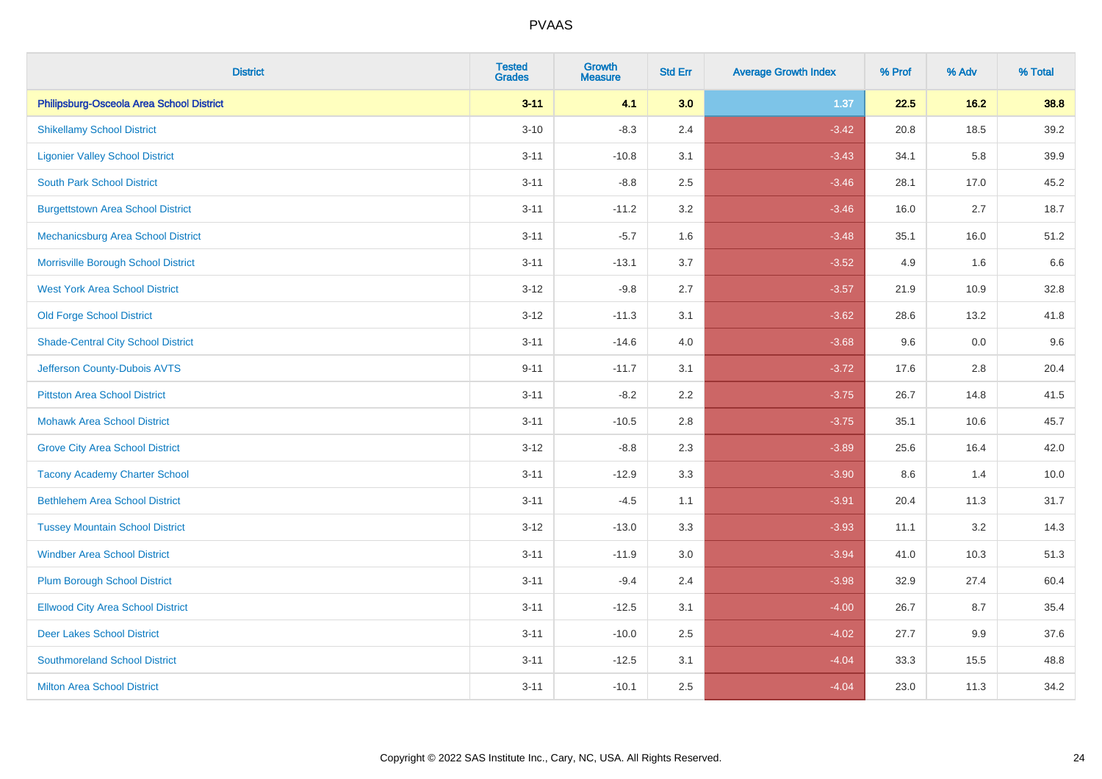| <b>District</b>                           | <b>Tested</b><br><b>Grades</b> | Growth<br><b>Measure</b> | <b>Std Err</b> | <b>Average Growth Index</b> | % Prof | % Adv | % Total |
|-------------------------------------------|--------------------------------|--------------------------|----------------|-----------------------------|--------|-------|---------|
| Philipsburg-Osceola Area School District  | $3 - 11$                       | 4.1                      | 3.0            | $1.37$                      | 22.5   | 16.2  | 38.8    |
| <b>Shikellamy School District</b>         | $3 - 10$                       | $-8.3$                   | 2.4            | $-3.42$                     | 20.8   | 18.5  | 39.2    |
| <b>Ligonier Valley School District</b>    | $3 - 11$                       | $-10.8$                  | 3.1            | $-3.43$                     | 34.1   | 5.8   | 39.9    |
| <b>South Park School District</b>         | $3 - 11$                       | $-8.8$                   | 2.5            | $-3.46$                     | 28.1   | 17.0  | 45.2    |
| <b>Burgettstown Area School District</b>  | $3 - 11$                       | $-11.2$                  | 3.2            | $-3.46$                     | 16.0   | 2.7   | 18.7    |
| Mechanicsburg Area School District        | $3 - 11$                       | $-5.7$                   | 1.6            | $-3.48$                     | 35.1   | 16.0  | 51.2    |
| Morrisville Borough School District       | $3 - 11$                       | $-13.1$                  | 3.7            | $-3.52$                     | 4.9    | 1.6   | 6.6     |
| <b>West York Area School District</b>     | $3 - 12$                       | $-9.8$                   | 2.7            | $-3.57$                     | 21.9   | 10.9  | 32.8    |
| <b>Old Forge School District</b>          | $3 - 12$                       | $-11.3$                  | 3.1            | $-3.62$                     | 28.6   | 13.2  | 41.8    |
| <b>Shade-Central City School District</b> | $3 - 11$                       | $-14.6$                  | 4.0            | $-3.68$                     | 9.6    | 0.0   | 9.6     |
| Jefferson County-Dubois AVTS              | $9 - 11$                       | $-11.7$                  | 3.1            | $-3.72$                     | 17.6   | 2.8   | 20.4    |
| <b>Pittston Area School District</b>      | $3 - 11$                       | $-8.2$                   | 2.2            | $-3.75$                     | 26.7   | 14.8  | 41.5    |
| <b>Mohawk Area School District</b>        | $3 - 11$                       | $-10.5$                  | 2.8            | $-3.75$                     | 35.1   | 10.6  | 45.7    |
| <b>Grove City Area School District</b>    | $3 - 12$                       | $-8.8$                   | 2.3            | $-3.89$                     | 25.6   | 16.4  | 42.0    |
| <b>Tacony Academy Charter School</b>      | $3 - 11$                       | $-12.9$                  | 3.3            | $-3.90$                     | 8.6    | 1.4   | 10.0    |
| <b>Bethlehem Area School District</b>     | $3 - 11$                       | $-4.5$                   | 1.1            | $-3.91$                     | 20.4   | 11.3  | 31.7    |
| <b>Tussey Mountain School District</b>    | $3 - 12$                       | $-13.0$                  | 3.3            | $-3.93$                     | 11.1   | 3.2   | 14.3    |
| <b>Windber Area School District</b>       | $3 - 11$                       | $-11.9$                  | 3.0            | $-3.94$                     | 41.0   | 10.3  | 51.3    |
| <b>Plum Borough School District</b>       | $3 - 11$                       | $-9.4$                   | 2.4            | $-3.98$                     | 32.9   | 27.4  | 60.4    |
| <b>Ellwood City Area School District</b>  | $3 - 11$                       | $-12.5$                  | 3.1            | $-4.00$                     | 26.7   | 8.7   | 35.4    |
| <b>Deer Lakes School District</b>         | $3 - 11$                       | $-10.0$                  | 2.5            | $-4.02$                     | 27.7   | 9.9   | 37.6    |
| <b>Southmoreland School District</b>      | $3 - 11$                       | $-12.5$                  | 3.1            | $-4.04$                     | 33.3   | 15.5  | 48.8    |
| <b>Milton Area School District</b>        | $3 - 11$                       | $-10.1$                  | 2.5            | $-4.04$                     | 23.0   | 11.3  | 34.2    |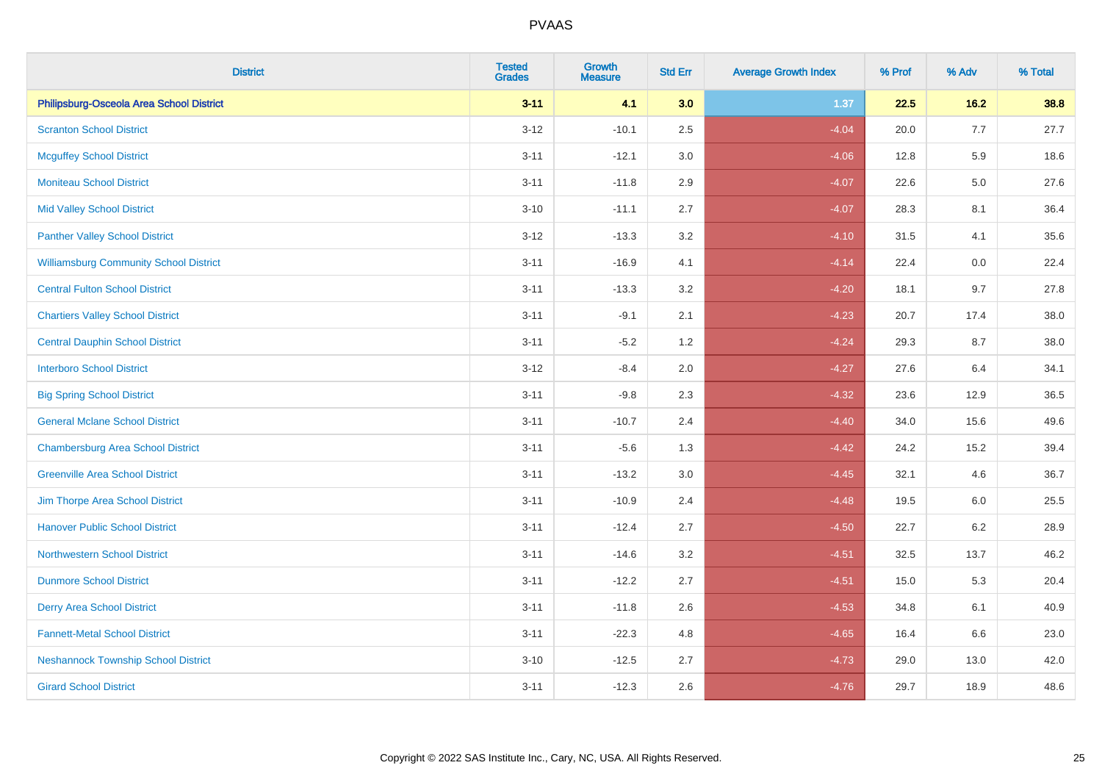| <b>District</b>                               | <b>Tested</b><br><b>Grades</b> | Growth<br><b>Measure</b> | <b>Std Err</b> | <b>Average Growth Index</b> | % Prof | % Adv   | % Total |
|-----------------------------------------------|--------------------------------|--------------------------|----------------|-----------------------------|--------|---------|---------|
| Philipsburg-Osceola Area School District      | $3 - 11$                       | 4.1                      | 3.0            | 1.37                        | 22.5   | 16.2    | 38.8    |
| <b>Scranton School District</b>               | $3 - 12$                       | $-10.1$                  | 2.5            | $-4.04$                     | 20.0   | 7.7     | 27.7    |
| <b>Mcguffey School District</b>               | $3 - 11$                       | $-12.1$                  | 3.0            | $-4.06$                     | 12.8   | 5.9     | 18.6    |
| <b>Moniteau School District</b>               | $3 - 11$                       | $-11.8$                  | 2.9            | $-4.07$                     | 22.6   | 5.0     | 27.6    |
| <b>Mid Valley School District</b>             | $3 - 10$                       | $-11.1$                  | 2.7            | $-4.07$                     | 28.3   | 8.1     | 36.4    |
| <b>Panther Valley School District</b>         | $3 - 12$                       | $-13.3$                  | 3.2            | $-4.10$                     | 31.5   | 4.1     | 35.6    |
| <b>Williamsburg Community School District</b> | $3 - 11$                       | $-16.9$                  | 4.1            | $-4.14$                     | 22.4   | $0.0\,$ | 22.4    |
| <b>Central Fulton School District</b>         | $3 - 11$                       | $-13.3$                  | 3.2            | $-4.20$                     | 18.1   | 9.7     | 27.8    |
| <b>Chartiers Valley School District</b>       | $3 - 11$                       | $-9.1$                   | 2.1            | $-4.23$                     | 20.7   | 17.4    | 38.0    |
| <b>Central Dauphin School District</b>        | $3 - 11$                       | $-5.2$                   | 1.2            | $-4.24$                     | 29.3   | 8.7     | 38.0    |
| <b>Interboro School District</b>              | $3 - 12$                       | $-8.4$                   | 2.0            | $-4.27$                     | 27.6   | 6.4     | 34.1    |
| <b>Big Spring School District</b>             | $3 - 11$                       | $-9.8$                   | 2.3            | $-4.32$                     | 23.6   | 12.9    | 36.5    |
| <b>General Mclane School District</b>         | $3 - 11$                       | $-10.7$                  | 2.4            | $-4.40$                     | 34.0   | 15.6    | 49.6    |
| <b>Chambersburg Area School District</b>      | $3 - 11$                       | $-5.6$                   | 1.3            | $-4.42$                     | 24.2   | 15.2    | 39.4    |
| <b>Greenville Area School District</b>        | $3 - 11$                       | $-13.2$                  | 3.0            | $-4.45$                     | 32.1   | 4.6     | 36.7    |
| Jim Thorpe Area School District               | $3 - 11$                       | $-10.9$                  | 2.4            | $-4.48$                     | 19.5   | $6.0\,$ | 25.5    |
| <b>Hanover Public School District</b>         | $3 - 11$                       | $-12.4$                  | 2.7            | $-4.50$                     | 22.7   | 6.2     | 28.9    |
| <b>Northwestern School District</b>           | $3 - 11$                       | $-14.6$                  | 3.2            | $-4.51$                     | 32.5   | 13.7    | 46.2    |
| <b>Dunmore School District</b>                | $3 - 11$                       | $-12.2$                  | 2.7            | $-4.51$                     | 15.0   | 5.3     | 20.4    |
| <b>Derry Area School District</b>             | $3 - 11$                       | $-11.8$                  | 2.6            | $-4.53$                     | 34.8   | 6.1     | 40.9    |
| <b>Fannett-Metal School District</b>          | $3 - 11$                       | $-22.3$                  | 4.8            | $-4.65$                     | 16.4   | 6.6     | 23.0    |
| <b>Neshannock Township School District</b>    | $3 - 10$                       | $-12.5$                  | 2.7            | $-4.73$                     | 29.0   | 13.0    | 42.0    |
| <b>Girard School District</b>                 | $3 - 11$                       | $-12.3$                  | 2.6            | $-4.76$                     | 29.7   | 18.9    | 48.6    |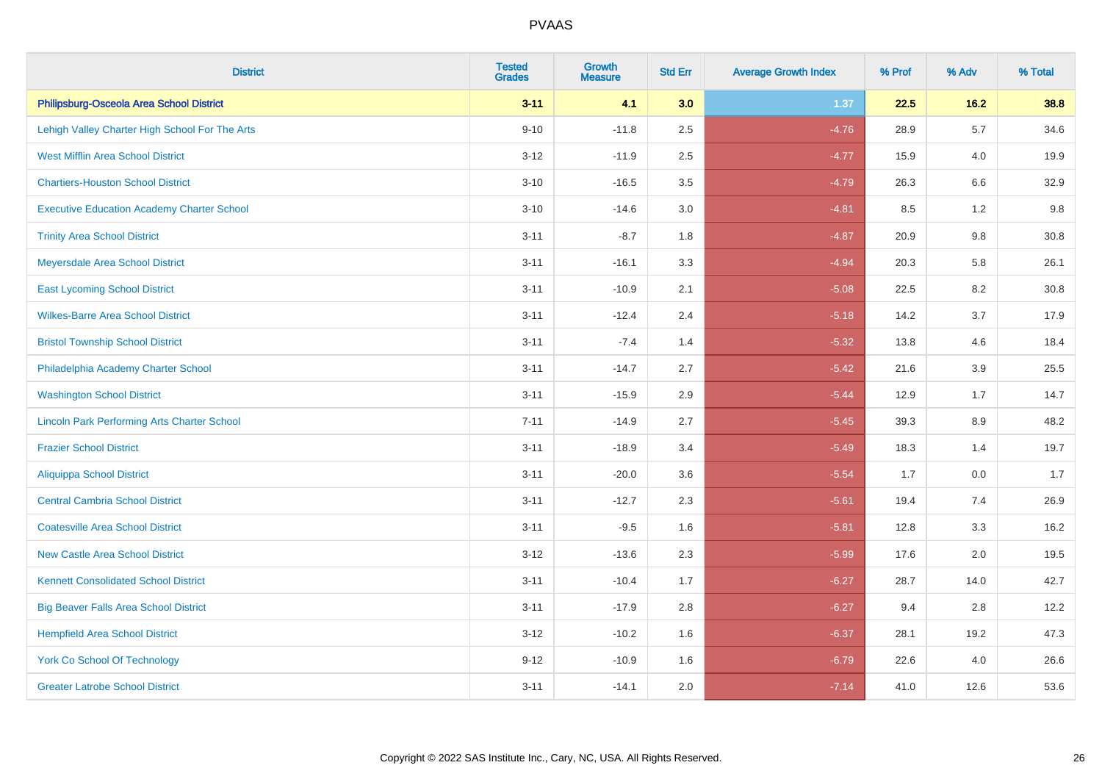| <b>District</b>                                    | <b>Tested</b><br><b>Grades</b> | <b>Growth</b><br><b>Measure</b> | <b>Std Err</b> | <b>Average Growth Index</b> | % Prof | % Adv   | % Total |
|----------------------------------------------------|--------------------------------|---------------------------------|----------------|-----------------------------|--------|---------|---------|
| Philipsburg-Osceola Area School District           | $3 - 11$                       | 4.1                             | 3.0            | $1.37$                      | 22.5   | 16.2    | 38.8    |
| Lehigh Valley Charter High School For The Arts     | $9 - 10$                       | $-11.8$                         | 2.5            | $-4.76$                     | 28.9   | 5.7     | 34.6    |
| <b>West Mifflin Area School District</b>           | $3 - 12$                       | $-11.9$                         | 2.5            | $-4.77$                     | 15.9   | 4.0     | 19.9    |
| <b>Chartiers-Houston School District</b>           | $3 - 10$                       | $-16.5$                         | 3.5            | $-4.79$                     | 26.3   | $6.6\,$ | 32.9    |
| <b>Executive Education Academy Charter School</b>  | $3 - 10$                       | $-14.6$                         | 3.0            | $-4.81$                     | 8.5    | 1.2     | 9.8     |
| <b>Trinity Area School District</b>                | $3 - 11$                       | $-8.7$                          | 1.8            | $-4.87$                     | 20.9   | $9.8\,$ | 30.8    |
| Meyersdale Area School District                    | $3 - 11$                       | $-16.1$                         | 3.3            | $-4.94$                     | 20.3   | 5.8     | 26.1    |
| <b>East Lycoming School District</b>               | $3 - 11$                       | $-10.9$                         | 2.1            | $-5.08$                     | 22.5   | 8.2     | 30.8    |
| <b>Wilkes-Barre Area School District</b>           | $3 - 11$                       | $-12.4$                         | 2.4            | $-5.18$                     | 14.2   | 3.7     | 17.9    |
| <b>Bristol Township School District</b>            | $3 - 11$                       | $-7.4$                          | 1.4            | $-5.32$                     | 13.8   | 4.6     | 18.4    |
| Philadelphia Academy Charter School                | $3 - 11$                       | $-14.7$                         | 2.7            | $-5.42$                     | 21.6   | 3.9     | 25.5    |
| <b>Washington School District</b>                  | $3 - 11$                       | $-15.9$                         | 2.9            | $-5.44$                     | 12.9   | 1.7     | 14.7    |
| <b>Lincoln Park Performing Arts Charter School</b> | $7 - 11$                       | $-14.9$                         | 2.7            | $-5.45$                     | 39.3   | $8.9\,$ | 48.2    |
| <b>Frazier School District</b>                     | $3 - 11$                       | $-18.9$                         | 3.4            | $-5.49$                     | 18.3   | 1.4     | 19.7    |
| <b>Aliquippa School District</b>                   | $3 - 11$                       | $-20.0$                         | 3.6            | $-5.54$                     | 1.7    | 0.0     | 1.7     |
| <b>Central Cambria School District</b>             | $3 - 11$                       | $-12.7$                         | 2.3            | $-5.61$                     | 19.4   | 7.4     | 26.9    |
| <b>Coatesville Area School District</b>            | $3 - 11$                       | $-9.5$                          | 1.6            | $-5.81$                     | 12.8   | 3.3     | 16.2    |
| <b>New Castle Area School District</b>             | $3 - 12$                       | $-13.6$                         | 2.3            | $-5.99$                     | 17.6   | 2.0     | 19.5    |
| <b>Kennett Consolidated School District</b>        | $3 - 11$                       | $-10.4$                         | 1.7            | $-6.27$                     | 28.7   | 14.0    | 42.7    |
| <b>Big Beaver Falls Area School District</b>       | $3 - 11$                       | $-17.9$                         | 2.8            | $-6.27$                     | 9.4    | 2.8     | 12.2    |
| <b>Hempfield Area School District</b>              | $3 - 12$                       | $-10.2$                         | 1.6            | $-6.37$                     | 28.1   | 19.2    | 47.3    |
| <b>York Co School Of Technology</b>                | $9 - 12$                       | $-10.9$                         | 1.6            | $-6.79$                     | 22.6   | 4.0     | 26.6    |
| <b>Greater Latrobe School District</b>             | $3 - 11$                       | $-14.1$                         | 2.0            | $-7.14$                     | 41.0   | 12.6    | 53.6    |